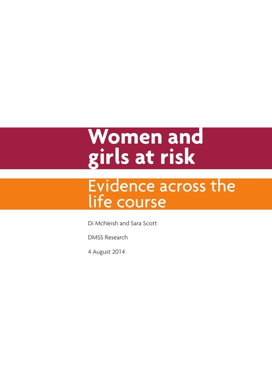# **Women and girls at risk**

## Evidence across the life course

Di McNeish and Sara Scott

DMSS Research

4 August 2014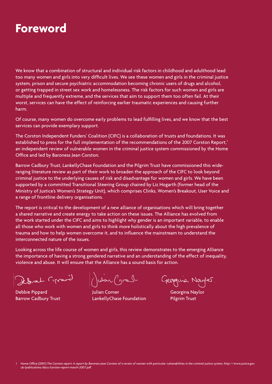## **Foreword**

We know that a combination of structural and individual risk factors in childhood and adulthood lead too many women and girls into very difficult lives. We see these women and girls in the criminal justice system, prison and secure psychiatric accommodation becoming chronic users of drugs and alcohol, or getting trapped in street sex work and homelessness. The risk factors for such women and girls are multiple and frequently extreme, and the services that aim to support them too often fail. At their worst, services can have the effect of reinforcing earlier traumatic experiences and causing further harm.

Of course, many women do overcome early problems to lead fulfilling lives, and we know that the best services can provide exemplary support.

The Corston Independent Funders' Coalition (CIFC) is a collaboration of trusts and foundations. It was established to press for the full implementation of the recommendations of the 2007 Corston Report,<sup>1</sup> an independent review of vulnerable women in the criminal justice system commissioned by the Home Office and led by Baroness Jean Corston.

Barrow Cadbury Trust, LankellyChase Foundation and the Pilgrim Trust have commissioned this wideranging literature review as part of their work to broaden the approach of the CIFC to look beyond criminal justice to the underlying causes of risk and disadvantage for women and girls. We have been supported by a committed Transitional Steering Group chaired by Liz Hogarth (former head of the Ministry of Justice's Women's Strategy Unit), which comprises Clinks, Women's Breakout, User Voice and a range of frontline delivery organisations.

The report is critical to the development of a new alliance of organisations which will bring together a shared narrative and create energy to take action on these issues. The Alliance has evolved from the work started under the CIFC and aims to highlight why gender is an important variable, to enable all those who work with women and girls to think more holistically about the high prevalence of trauma and how to help women overcome it, and to influence the mainstream to understand the interconnected nature of the issues.

Looking across the life course of women and girls, this review demonstrates to the emerging Alliance the importance of having a strong gendered narrative and an understanding of the effect of inequality, violence and abuse. It will ensure that the Alliance has a sound basis for action.

Isal Grand

Julian Comel

Debbie Pippard Julian Corner Georgina Naylor Barrow Cadbury Trust LankellyChase Foundation Pilgrim Trust

Georgina Nayles,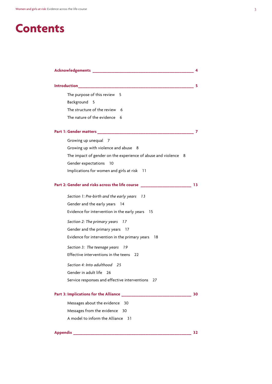## **Contents**

| Acknowledgements _________<br>4                                     |
|---------------------------------------------------------------------|
| <b>Introduction</b><br>5                                            |
|                                                                     |
| The purpose of this review<br>5                                     |
| Background 5                                                        |
| The structure of the review<br>6                                    |
| The nature of the evidence<br>6                                     |
| Part 1: Gender matters _______<br>7                                 |
| Growing up unequal 7                                                |
| Growing up with violence and abuse<br>- 8                           |
| The impact of gender on the experience of abuse and violence<br>- 8 |
| Gender expectations<br>- 10                                         |
| Implications for women and girls at risk<br>- 11                    |
| Part 2: Gender and risks across the life course<br>13               |
| Section 1: Pre-birth and the early years 13                         |
| Gender and the early years<br>14                                    |
| Evidence for intervention in the early years<br>- 15                |
| Section 2: The primary years<br>-17                                 |
| Gender and the primary years 17                                     |
| Evidence for intervention in the primary years<br>18                |
| Section 3: The teenage years<br>19                                  |
| Effective interventions in the teens<br>22                          |
| Section 4: Into adulthood 25                                        |
| Gender in adult life 26                                             |
| Service responses and effective interventions<br>- 27               |
| 30                                                                  |
| Messages about the evidence<br>30                                   |
| Messages from the evidence<br>30                                    |
| A model to inform the Alliance<br>- 31                              |
| <b>Appendix</b><br>32                                               |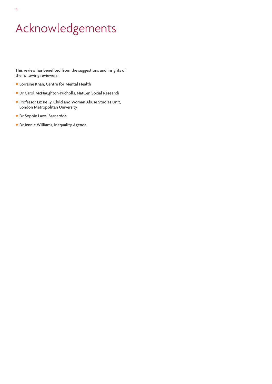## Acknowledgements

This review has benefited from the suggestions and insights of the following reviewers:

- Lorraine Khan, Centre for Mental Health
- Dr Carol McNaughton-Nicholls, NatCen Social Research
- Professor Liz Kelly, Child and Woman Abuse Studies Unit, London Metropolitan University
- Dr Sophie Laws, Barnardo's
- Dr Jennie Williams, Inequality Agenda.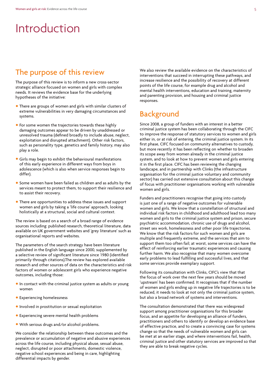## Introduction

### The purpose of this review

The purpose of this review is to inform a new cross-sector strategic alliance focused on women and girls with complex needs. It reviews the evidence base for the underlying hypotheses of the initiative:

- There are groups of women and girls with similar clusters of extreme vulnerabilities in very damaging circumstances and systems.
- For some women the trajectories towards these highly damaging outcomes appear to be driven by unaddressed or unresolved trauma (defined broadly to include abuse, neglect, exploitation and disrupted attachment). Other risk factors, such as personality type, genetics and family history, may also play a role.
- Girls may begin to exhibit the behavioural manifestations of this early experience in different ways from boys in adolescence (which is also when service responses begin to differ).
- Some women have been failed as children and as adults by the services meant to protect them, to support their resilience and to assist their recovery.
- There are opportunities to address these issues and support women and girls by taking a 'life course' approach, looking holistically at a structural, social and cultural context.

The review is based on a search of a broad range of evidence sources including: published research, theoretical literature, data available on UK government websites and 'grey literature' such as organisational reports and websites.

The parameters of the search strategy have been literature published in the English language since 2000, supplemented by a selective review of significant literature since 1980 (identified primarily through citations).The review has explored available research and other sources of data on the characteristics and risk factors of women or adolescent girls who experience negative outcomes, including those:

- In contact with the criminal justice system as adults or young women
- Experiencing homelessness
- •Involved in prostitution or sexual exploitation
- Experiencing severe mental health problems
- With serious drugs and/or alcohol problems.

We consider the relationship between these outcomes and the prevalence or accumulation of negative and abusive experiences across the life course, including physical abuse, sexual abuse, neglect, disrupted or poor attachments, domestic violence, negative school experiences and being in care, highlighting differential impacts by gender.

We also review the available evidence on the characteristics of interventions that succeed in interrupting these pathways, and increase resilience and the possibility of recovery at different points of the life course, for example drug and alcohol and mental health interventions, education and training, maternity and parenting provision, and housing and criminal justice responses.

### **Background**

Since 2008, a group of funders with an interest in a better criminal justice system has been collaborating through the CIFC to improve the response of statutory services to women and girls either in, or at risk of entering, the criminal justice system. In its first phase, CIFC focused on community alternatives to custody, but more recently it has been reflecting on whether to broaden its scope away from women already in the criminal justice system, and to look at how to prevent women and girls entering it in the first place. CIFC has been reviewing the changing landscape, and in partnership with Clinks (the infrastructure organisation for the criminal justice voluntary and community sector) has carried out extensive consultation about this change of focus with practitioner organisations working with vulnerable women and girls.

Funders and practitioners recognise that going into custody is just one of a range of negative outcomes for vulnerable women and girls. We know that a constellation of structural and individual risk factors in childhood and adulthood lead too many women and girls to the criminal justice system and prison, secure psychiatric accommodation, chronic use of drugs and alcohol, street sex work, homelessness and other poor life trajectories. We know that the risk factors for such women and girls are multiple and frequently extreme, and the services that aim to support them too often fail; at worst, some services can have the effect of reinforcing earlier traumatic experiences and causing further harm. We also recognise that many women overcome early problems to lead fulfilling and successful lives, and that some services provide exemplary support.

Following its consultation with Clinks, CIFC's view that that the focus of work over the next few years should be moved 'upstream' has been confirmed. It recognises that if the number of women and girls ending up in negative life trajectories is to be reduced, it needs to look at not only the criminal justice system, but also a broad network of systems and interventions.

The consultation demonstrated that there was widespread support among practitioner organisations for this broader focus, and an appetite for developing an alliance of funders, practitioners and others to identify or develop an evidence base of effective practice, and to create a convincing case for systems change so that the needs of vulnerable women and girls can be met at an earlier stage, and where interventions fail, health, criminal justice and other statutory services are improved so that they are able to break negative cycles.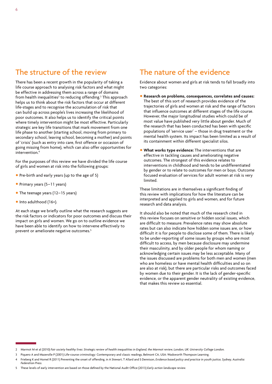## The structure of the review

There has been a recent growth in the popularity of taking a life course approach to analysing risk factors and what might be effective in addressing them across a range of domains from health inequalities<sup>2</sup> to reducing offending.<sup>3</sup> This approach helps us to think about the risk factors that occur at different life-stages and to recognise the accumulation of risk that can build up across people's lives increasing the likelihood of poor outcomes. It also helps us to identify the critical points where timely intervention might be most effective. Particularly strategic are key life transitions that mark movement from one life phase to another (starting school, moving from primary to secondary school, leaving school, becoming a mother) and points of 'crisis' (such as entry into care, first offence or occasion of going missing from home), which can also offer opportunities for intervention.4

For the purposes of this review we have divided the life course of girls and women at risk into the following groups:

- Pre-birth and early years (up to the age of 5)
- Primary years (5–11 years)
- The teenage years (12-15 years)
- •Into adulthood (16+).

At each stage we briefly outline what the research suggests are the risk factors or indicators for poor outcomes and discuss their impact on girls and women. We go on to outline evidence we have been able to identify on how to intervene effectively to prevent or ameliorate negative outcomes.<sup>5</sup>

### The nature of the evidence

Evidence about women and girls at risk tends to fall broadly into two categories:

- **Research on problems, consequences, correlates and causes:** The best of this sort of research provides evidence of the trajectories of girls and women at risk and the range of factors that influence outcomes at different stages of the life course. However, the major longitudinal studies which could be of most value have published very little about gender. Much of the research that has been conducted has been with specific populations of 'service user' – those in drug treatment or the mental health system. Its impact has been limited as a result of its containment within different specialist silos.
- **What works type evidence:** The interventions that are effective in tackling causes and ameliorating negative outcomes. The strongest of this evidence relates to interventions in childhood and tends to be undifferentiated by gender or to relate to outcomes for men or boys. Outcome focused evaluation of services for adult women at risk is very limited.

These limitations are in themselves a significant finding of this review with implications for how the literature can be interpreted and applied to girls and women, and for future research and data analysis.

It should also be noted that much of the research cited in this review focuses on sensitive or hidden social issues, which are difficult to measure. Prevalence rates may show absolute rates but can also indicate how hidden some issues are, or how difficult it is for people to disclose some of them. There is likely to be under-reporting of some issues by groups who are most difficult to access, by men because disclosure may undermine their masculinity, and by older people for whom naming or acknowledging certain issues may be less acceptable. Many of the issues discussed are problems for both men and women (men who are homeless or have mental health difficulties and so on are also at risk), but there are particular risks and outcomes faced by women due to their gender. It is the lack of gender-specific evidence, or the apparent gender neutrality of existing evidence, that makes this review so essential.

<sup>2</sup> Marmot M et al (2010) *Fair society healthy lives: Strategic review of health inequalities in England, the Marmot review, London, UK: University College London.*

<sup>3</sup> Piquero A and Mazerolle P (2001) Life-course criminology: Contemporary and classic readings, Belmont CA, USA: Wadsworth Thompson Learning.

<sup>4</sup> Frieberg K and Homel R (2011) Preventing the onset of offending, in A Stewart, T Allard and S Dennison, *Evidence based policy and practice in youth justice, Sydney, Australia: Federation Press.*

<sup>5</sup> These levels of early intervention are based on those defined by the National Audit Office (2013) *Early action landscape review.*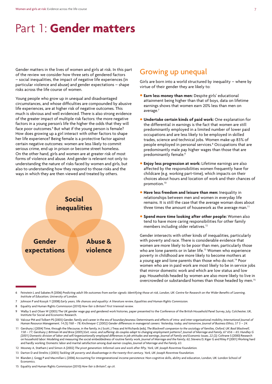## Part 1: **Gender matters**

Gender matters in the lives of women and girls at risk. In this part of the review we consider how three sets of gendered factors – social inequalities, the impact of negative life experiences (in particular violence and abuse) and gender expectations – shape risks across the life course of women.

Young people who grow up in unequal and disadvantaged circumstances, and whose difficulties are compounded by abusive life experiences, are at higher risk of negative outcomes. This much is obvious and well evidenced. There is also strong evidence of the greater impact of multiple risk factors: the more negative factors in a young person's life the higher the odds that they will face poor outcomes.<sup>6</sup> But what if the young person is female? How does growing up a girl interact with other factors to shape her life experience? Being female is a protective factor against certain negative outcomes: women are less likely to commit serious crime, end up in prison or become street homeless. On the other hand, girls and women are at greater risk of most forms of violence and abuse. And gender is relevant not only to understanding the nature of risks faced by women and girls, but also to understanding how they respond to those risks and the ways in which they are then viewed and treated by others.



#### Growing up unequal

Girls are born into a world structured by inequality – where by virtue of their gender they are likely to:

- **Earn less money than men:** Despite girls' educational attainment being higher than that of boys, data on lifetime earnings shows that women earn 20% less than men on average.7
- **Undertake certain kinds of paid work:** One explanation for the differential in earnings is the fact that women are still predominantly employed in a limited number of lower paid occupations and are less likely to be employed in skilled trades, science and technical jobs. Women make up 83% of people employed in personal services.<sup>8</sup> Occupations that are predominantly male pay higher wages than those that are predominantly female.<sup>9</sup>
- **Enjoy less progression at work:** Lifetime earnings are also affected by the responsibilities women frequently have for childcare (e.g. working part-time), which impacts on their choices about hours and location of work and their chances of promotion.<sup>10</sup>
- **Have less freedom and leisure than men:** Inequality in relationships between men and women in everyday life remains. It is still the case that the average woman does about three times the amount of housework as the average man.<sup>11</sup>
- **Spend more time looking after other people:** Women also tend to have more caring responsibilities for other family members including older relatives.<sup>12</sup>

Gender intersects with other kinds of inequalities, particularly with poverty and race. There is considerable evidence that women are more likely to be poor than men, particularly those who are lone parents or in later life.<sup>13</sup> Women who experience poverty in childhood are more likely to become mothers at a young age and lone parents than those who do not.14 Poor women who are in paid work are most likely to be in service jobs that mirror domestic work and which are low status and low pay. Households headed by women are also more likely to live in overcrowded or substandard homes than those headed by men.<sup>15</sup>

- 7 Johnson P and Kossyk Y (2008) *Early years, life chances and equality: A literature review, Equalities and Human Rights Commission.*
- 8 Equality and Human Rights Commission (2010) *How fair is Britain? First triennial review.*
- Walby S and Olsen W (2003) The UK gender wage gap and gendered work histories, paper presented to the Conference of the British Household Panel Survey, July, Colchester, UK, Institute for Social and Economic Research.
- 10 Valcour PM and Tolbert PS (2003) Gender, family and career in the era of boundarylessness: Determinants and effects of intra- and inter-organizational mobility, *International Journal of Human Resource Management, 14 (5) 768 – 78; Kirchmeyer C (2002) Gender differences in managerial careers: Yesterday, today, and tomorrow, Journal of Business Ethics, 37 5 – 24.*
- 11 Gershuny J (2004) Time, through the lifecourse, in the family, in J Scott, J Treas and M Richards (eds), *The Blackwell companion to the sociology of families, Oxford, UK: Basil Blackwell, 158 – 77; Gershuny J, Bittman M and Brice (2005) Exit, voice, and suffering: do couples adapt to changing employment patterns?, Journal of Marriage and Family, 67 656 – 65; Hundley G (2001) Domestic division of labor and self/organizationally employed differences in job attitudes and earnings, Journal of Family and Economic Issues, 22 (2);* Coltrane S (2000) Research on household labor: Modeling and measuring the social embeddedness of routine family work, *Journal of Marriage and the Family*, 62; Stevens D, Kiger G and Riley P (2001) Working hard and hardly working: Domestic labor and marital satisfaction among dual-earner couples, *Journal of Marriage and the Family, 63.*
- 12 Mooney A, Statham J and Simon A (2002) *The pivot generation: Informal care and work after fifty, York, UK: Joseph Rowntree Foundation.*
- 13 Darton D and Strelitz J (2003) *Tackling UK poverty and disadvantage in the twenty-first century, York, UK: Joseph Rowntree Foundation.*
- 14 Blanden J, Gregg P and Macmillan L (2006) Accounting for intergenerational income persistence: Non-cognitive skills, ability and education, London, UK: London School of **Economics**
- 15 Equality and Human Rights Commission (2010) *How fair is Britain?, op cit.*

<sup>6</sup> Feinstein L and Sabates R (2006) *Predicting adult life outcomes from earlier signals: Identifying those at risk, London, UK: Centre for Research on the Wider Benefits of Learning, Institute of Education, University of London.*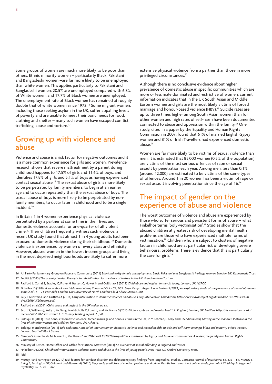Some groups of women are much more likely to be poor than others. Ethnic minority women – particularly Black, Pakistani and Bangladeshi women –are far more likely to be unemployed than white women. This applies particularly to Pakistani and Bangladeshi women: 20.5% are unemployed compared with 6.8% of White women, and 17.7% of Black women are unemployed. The unemployment rate of Black women has remained at roughly double that of white women since 1972.<sup>16</sup> Some migrant women, including those seeking asylum in the UK, suffer appalling levels of poverty and are unable to meet their basic needs for food, clothing and shelter – many such women have escaped conflict, trafficking, abuse and torture.17

### Growing up with violence and abuse

Violence and abuse is a risk factor for negative outcomes and it is a more common experience for girls and women. Prevalence research shows that severe maltreatment by a parent during childhood happens to 17.5% of girls and 11.6% of boys, and identifies 17.8% of girls and 5.1% of boys as having experienced contact sexual abuse.18 The sexual abuse of girls is more likely to be perpetrated by family members, to begin at an earlier age and to occur repeatedly than the sexual abuse of boys. The sexual abuse of boys is more likely to be perpetrated by nonfamily members, to occur later in childhood and to be a single incident.<sup>19</sup>

In Britain, 1 in 4 women experience physical violence perpetrated by a partner at some time in their lives and domestic violence accounts for one-quarter of all violent crime.20 Their children frequently witness such violence: a recent UK study found that almost 1 in 4 young adults had been exposed to domestic violence during their childhood.21 Domestic violence is experienced by women of every class and ethnicity. However, abused women in the lowest income groups and living in the most deprived neighbourhoods are likely to suffer more

extensive physical violence from a partner than those in more privileged circumstances.<sup>22</sup>

Although there is no conclusive evidence about higher prevalence of domestic abuse in specific communities which are more or less male dominated and restrictive of women, current information indicates that in the UK South Asian and Middle Eastern women and girls are the most likely victims of forced marriage and honour-based violence (HBV).<sup>23</sup> Suicide rates are up to three times higher among South Asian women than for other women and high rates of self-harm have been documented connected to abuse and oppression within the family.<sup>24</sup> One study, cited in a paper by the Equality and Human Rights Commission in 2007, found that 61% of married English Gypsy women and 81% of Irish Travellers had experienced domestic abuse.<sup>25</sup>

Women are far more likely to be victims of sexual violence than men: it is estimated that 85,000 women (0.5% of the population) are victims of the most serious offences of rape or sexual assault by penetration each year. Among men, less than 0.1% (around 12,000) are estimated to be victims of the same types of offences. Around 1 in 20 women has been a victim of rape or sexual assault involving penetration since the age of 16.<sup>26</sup>

#### The impact of gender on the experience of abuse and violence

The worst outcomes of violence and abuse are experienced by those who suffer serious and persistent forms of abuse – what Finkelhor terms 'poly-victimisation'.27 Studies show that the abused children at greatest risk of developing mental health problems are those who have experienced multiple forms of victimisation.28 Children who are subject to clusters of negative factors in childhood are at particular risk of developing severe behavioural problems. There is evidence that this is particularly the case for girls.29

28 Ibid.

<sup>16</sup> All Party Parliamentary Group on Race and Community (2014) *Ethnic minority female unemployment: Black, Pakistani and Bangladeshi heritage women, London, UK: Runnymede Trust.* 17 Pettitt J (2013) *The poverty barrier: The right to rehabilitation for survivors of torture in the UK, Freedom from Torture.*

<sup>18</sup> Radford L, Corral S, Bradley C, Fisher H, Bassett C, Howat N and Collishaw S (2011) *Child abuse and neglect in the UK today, London, UK: NSPCC.*

<sup>19</sup> Finkelhor D (1986) *A sourcebook on child sexual abuse, Thousand Oaks CA, USA: Sage; Kelly L, Regan L and Burton S (1991) An exploratory study of the prevalence of sexual abuse in a sample of 16 – 21 year olds, London, UK: University of North London: Child Abuse Studies Unit.*

<sup>20</sup> Guy J, Feinstein L and Griffiths A (2014) *Early intervention in domestic violence and abuse, Early Intervention Foundation, http://www.avaproject.org.uk/media/148794/eif%20 dva%20full%20report.pdf.*

<sup>21</sup> Radford et al (2011) *Child abuse and neglect in the UK today, op cit.*

<sup>22</sup> Scott S, Williams J, Kelly L, McNaughton Nicholls C, Lovett J and McManus S (2013) *Violence, abuse and mental health in England, London, UK: NatCen, http://www.natcen.ac.uk/ media/205520/reva-strand-1-13th-may-briefing-report-2-.pdf*

<sup>23</sup> Siddiqui H (2013) 'True honour': Domestic violence, forced marriage and honour crimes in the UK, in Y Rehman, L Kelly and H Siddiqui (eds), *Moving in the shadows: Violence in the lives of minority women and children, Farnham, UK: Ashgate.*

<sup>24</sup> Siddiqui H and Patel M (2011) *Safe and sane: A model of intervention on domestic violence and mental health, suicide and self-harm amongst black and minority ethnic women, London: Southall Black Sisters.*

<sup>25</sup> Cemlyn S, Greenfields M, Burnett S, Matthews Z and Whitwell C (2009) *Inequalities experienced by Gypsy and Traveller communities: A review, Inequality and Human Rights Commission.*

<sup>26</sup> Ministry of Justice, Home Office and Office for National Statistics (2013) *An overview of sexual offending in England and Wales.*

<sup>27</sup> Finkelhor D (2008) *Childhood victimization: Violence, crime and abuse in the lives of young people, New York, US: Oxford University Press.*

<sup>29</sup> Murray J and Farrington DP (2010) Risk factors for conduct disorder and delinquency: Key findings from longitudinal studies, *Canadian Journal of Psychiatry, 55, 633 – 64; Murray J,*  Irving B, Farrington DP, Colman I and Bloxson AJ (2010) Very early predictors of conduct problems and crime: Results from a national cohort study, Journal of Child Psychology and *Psychiatry, 51 1198 – 207.*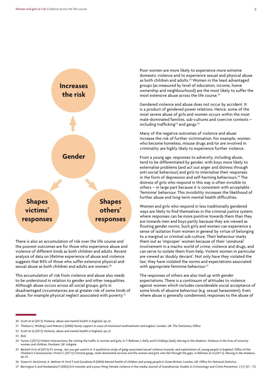

There is also an accumulation of risk over the life course and the poorest outcomes are for those who experience abuse and violence of different kinds as both children and adults. Recent analysis of data on lifetime experience of abuse and violence suggests that 84% of those who suffer extensive physical and sexual abuse as both children and adults are women.<sup>30</sup>

This accumulation of risk from violence and abuse also needs to be understood in relation to gender and other inequalities. Although abuse occurs across all social groups, girls in disadvantaged circumstances are at greater risk of some kinds of abuse, for example physical neglect associated with poverty.<sup>31</sup>

Poor women are more likely to experience more extreme domestic violence and to experience sexual and physical abuse as both children and adults.<sup>32</sup> Women in the least advantaged groups (as measured by level of education, income, home ownership and neighbourhood) are the most likely to suffer the most extensive abuse across the life course.<sup>33</sup>

Gendered violence and abuse does not occur by accident. It is a product of gendered power relations. Hence, some of the most severe abuse of girls and women occurs within the most male-dominated families, sub-cultures and coercive contexts – including trafficking<sup>34</sup> and gangs.<sup>35</sup>

Many of the negative outcomes of violence and abuse increase the risk of further victimisation. For example, women who become homeless, misuse drugs and/or are involved in criminality are highly likely to experience further violence.

From a young age, responses to adversity, including abuse, tend to be differentiated by gender, with boys more likely to externalise problems (and act out anger and distress through anti-social behaviour) and girls to internalise their responses in the form of depression and self-harming behaviours.<sup>36</sup> The distress of girls who respond in this way is often invisible to others – in large part because it is consistent with acceptable 'feminine' behaviour. This invisibility increases the likelihood of further abuse and long-term mental health difficulties.

Women and girls who respond in less traditionally gendered ways are likely to find themselves in the criminal justice system, where responses can be more punitive towards them than they are towards men and boys partly because they are viewed as flouting gender norms. Such girls and women can experience a sense of isolation from women in general by virtue of belonging to a marginal or criminal sub-culture. Their behaviour marks them out as 'improper' women because of their 'unnatural' involvement in a macho world of crime, violence and drugs, and can serve to isolate them from help. Violent women in particular are viewed as 'doubly deviant'. Not only have they violated the law; they have violated the norms and expectations associated with appropriate feminine behaviour.<sup>37</sup>

The responses of others are also tied up with gender expectations. There is a continuum of attitudes to violence against women which includes considerable social acceptance of some kinds of abusive behaviour (e.g. sexual harassment). Even where abuse is generally condemned, responses to the abuse of

<sup>30</sup> Scott et al (2013) *Violence, abuse and mental health in England, op cit.*

<sup>31</sup> Thoburn J, Wilding J and Watson J (2000) *Family support in cases of emotional maltreatment and neglect, London, UK: The Stationery Office.*

<sup>32</sup> Scott et al (2013) *Violence, abuse and mental health in England, op cit.*

<sup>33</sup> Ibid.

<sup>34</sup> Turner J (2013) Violent intersections: Re-visiting the traffic in women and girls, in Y Rehman, L Kelly and H Siddiqui (eds), *Moving in the shadows: Violence in the lives of minority women and children, Farnham, UK: Ashgate.*

<sup>35</sup> Beckett H et al (2013) *It's wrong… but you get used to it: A qualitative study of gang-associated sexual violence towards, and exploitation of, young people in England, Office of the Children's Commissioner; Firmin C (2013) Criminal gangs, male-dominated services and the women and girls who fall through the gaps, in Rehman et al (2013), Moving in the shadows, op cit.*

<sup>36</sup> Green H, McGinnity A, Meltzer H, Ford T and Goodman R (2004) *Mental health of children and young people in Great Britain, London, UK: Office for National Statistics.*

<sup>37</sup> Berrington E and Honkatukia P (2002) Evil monster and a poor thing: Female violence in the media, *Journal of Scandinavian Studies in Criminology and Crime Prevention, 3 (1) 50 – 72.*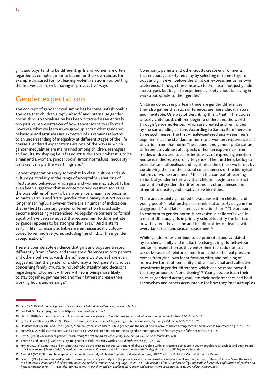girls and boys tend to be different: girls and women are often regarded as complicit in or to blame for their own abuse, for example criticised for not leaving violent relationships, putting themselves at risk, or behaving in 'provocative' ways.

#### Gender expectations

The concept of gender socialisation has become unfashionable. The idea that children simply 'absorb' and internalise gender norms through socialisation has been criticised as an entirely too passive representation of how gender identity is formed. However, what we learn as we grow up about what gendered behaviour and attitudes are expected of us remains relevant to an understanding of inequality at different stages of the life course. Gendered expectations are one of the ways in which gender inequalities are maintained among children, teenagers and adults. By shaping beliefs and attitudes about what it is to be a man and a woman, gender socialisation normalises inequality – it makes it simply the way things are.<sup>38</sup>

Gender expectations vary somewhat by class, culture and subculture particularly in the range of acceptable variations of lifestyle and behaviour which girls and women may adopt. It has even been suggested that in contemporary Western societies the possibilities of how to be a woman or a man have become so multi-various and 'trans-gender' that a binary distinction is no longer meaningful. However, there are a number of indications that in the 21st century gender differentiation has actually become increasingly retrenched. As legislative barriers to formal equality have been removed, the requirement to differentiate by gender appears to be stronger than ever.<sup>39</sup> And it starts early in life: for example, babies are enthusiastically colourcoded to remind everyone, including the child, of their gender categorisation.40

There is considerable evidence that girls and boys are treated differently from infancy and there are differences in how parents and others behave towards them.<sup>41</sup> Some US studies have even suggested that the gender of a child may affect parental choices concerning family structure, household stability and decisions regarding employment – those with sons being more likely to stay together, get married and their fathers increase their working hours and earnings.42

Commonly, parents and other adults create environments that encourage sex-typed play by selecting different toys for boys and girls even before the child can express her or his own preference. Through these means, children learn not just gender stereotypes but begin to experience anxiety about behaving in ways appropriate to their gender.<sup>43</sup>

Children do not simply learn there are gender differences; they also gather that such differences are hierarchical, natural and inevitable. One way of describing this is that in the course of early childhood, children begin to understand the world through 'gendered-lenses', which are created and reinforced by the surrounding culture. According to Sandra Bem there are three such lenses. The first – male-centeredness – sees men's experience as the standard or norm and women's experience as a deviation from that norm. The second lens, gender polarisation, differentiates almost all aspects of human experience, from modes of dress and social roles to ways of expressing emotion and sexual desire, according to gender. The third lens, biological essentialism, rationalises and legitimises the other two lenses by considering them as the natural consequences of the biological natures of women and men.44 It is in the context of learning to look at gender in this way that children begin to construct conventional gender identities or resist cultural lenses and attempt to create gender-subversive identities.

There are certainly gendered hierarchies within children and young people's relationships discernible at an early stage in the playground,45 and later in teenage relationships.46 The pressure to conform to gender norms is pervasive in children's lives. In a recent UK study girls in primary school identify the limits on how they feel they can be and the difficulties of dealing with everyday sexism and sexual harassment.<sup>47</sup>

While gender roles continue to be promoted and validated by teachers, family and media, the changes in girls' behaviour and self-presentation as they enter their teens do not just occur because of reinforcement from adults: the real pressure comes from girls' own identification with, and policing of, normative forms of femininity and an individual and collective investment in gender difference, which can be more powerful than any amount of 'conditioning'.48 Young people learn their roles as gendered actors, evaluate their performances and hold themselves and others accountable for how they 'measure up' as

<sup>38</sup> Fine C (2010) *Delusions of gender: The real science behind sex differences, London, UK: Icon.*

<sup>39</sup> See Pink Stinks campaign website, http://www.pinkstinks.co.uk/.

<sup>40</sup> Eliot L (2010) *Pink brain, blue brain: How small differences grow into troublesome gaps – and what we can do about it, Oxford, UK: One World.*

<sup>41</sup> Lytton H and Romney DM (1991) Parents' differential socialization of boys and girls: A meta-analysis, *Psychological Bulletin, 109 (2) 267 – 96.*

<sup>42</sup> Heidemann B, Joesch J and Rose E (2004) More daughters in childcare? Child gender and the use of non-relative childcare arrangements, *Social Science Quarterly, 85 (1) 154 – 68.*

<sup>43</sup> Pomerleau A, Bolduc D, Malcuit G and Cossette L (1990) Pink or blue: Environmental gender stereotypes in the first two years of life, *Sex Roles 22, 5 – 6.*

<sup>44</sup> Bem SL (1993) *The lenses of gender: Transforming the debate on sexual equality, New Haven CT, US: Yale University Press.*

<sup>45</sup> Thorne B and Luria Z (1986) Sexuality and gender in children's daily worlds, *Social Problems, 33 (3) 176 – 90.*

<sup>46</sup> Firmin C (2013) Something old or something new: do pre-existing conceptualisations of abuse enable a sufficient response to abuse in young people's relationships and peer groups?, in M Melrose and J Pearce (eds), *Critical perspectives on child sexual exploitation and related trafficking, Basingstoke, UK: Palgrave Macmillan.*

<sup>47</sup> Renold E (2013) Girls and boys speak out: A qualitative study of children's gender and sexual cultures, NSPCC and the Children's Commissioner for Wales.

<sup>48</sup> Eckert P (1996) Vowels and nail-polish: The emergence of linguistic style in the pre-adolescent heterosexual marketplace, in N Warner, J Ahlers, L Bilmes, M Oliver, S Wertheim and M Chen (eds), *Gender and belief systems, Berkeley: Berkeley Women and Language Group, 183 – 90; Maybin J (2009) Airhostess legs and jealous husbands: Explorations of gender and heterosexuality in 10 – 11 year-olds' conversations, in P Pichler and EM Eppler (eds), Gender and spoken interaction, Basingstoke, UK: Palgrave Macmillan.*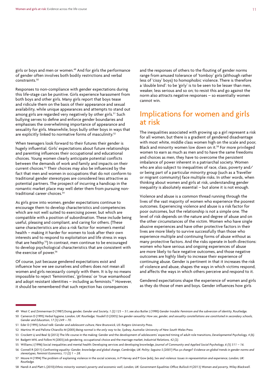girls or boys and men or women.<sup>49</sup> And for girls the performance of gender often involves both bodily restrictions and verbal constraints.50

Responses to non-compliance with gender expectations during this life-stage can be punitive. Girls experience harassment from both boys and other girls. Many girls report that boys tease and ridicule them on the basis of their appearance and sexual availability, while unique appearances and attempts to stand out among girls are regarded very negatively by other girls.<sup>51</sup> Such bullying serves to define and enforce gender boundaries and emphasises the overwhelming importance of appearance and sexuality for girls. Meanwhile, boys bully other boys in ways that are explicitly linked to normative forms of masculinity.<sup>52</sup>

When teenagers look forward to their futures their gender is hugely influential. Girls' expectations about future relationships and parenting influences their occupational and educational choices. Young women clearly anticipate potential conflicts between the demands of work and family and impacts on their current choices.53 Their choices may also be influenced by the fact that men and women in occupations that do not conform to traditional gender stereotypes are considered less attractive as potential partners. The prospect of incurring a handicap in the romantic market place may well deter them from pursuing nontraditional career choices.<sup>54</sup>

As girls grow into women, gender expectations continue to encourage them to develop characteristics and competencies which are not well suited to exercising power, but which are compatible with a position of subordination. These include being useful, pleasing and compliant, and caring for others. (These same characteristics are also a risk factor for women's mental health – making it harder for women to look after their own interests and to respond to exploitation and life stress in ways that are healthy.55) In contrast, men continue to be encouraged to develop psychological characteristics that are consistent with the exercise of power.<sup>56</sup>

Of course, just because gendered expectations exist and influence how we see ourselves and others does not mean all women and girls necessarily comply with them. It is by no means impossible to reject 'femininities', 'girliness' or 'true womanhood' and adopt resistant identities - including as feminists.<sup>57</sup> However, it should be remembered that such rejection has consequences

and the responses of others to the flouting of gender norms range from amused tolerance of 'tomboy' girls (although rather less of 'cissy' boys) to homophobic violence. There is therefore a 'double bind': to be 'girly' is to be seen to be lesser than men, weaker, less serious and so on; to resist this and go against the norm also attracts negative responses – so essentially women cannot win.

#### Implications for women and girls at risk

The inequalities associated with growing up a girl represent a risk for all women, but there is a gradient of gendered disadvantage with most white, middle class women high on the scale and poor, Black and minority women low down on it.58 For more privileged women to earn as much as men and to have the same freedoms and choices as men, they have to overcome the persistent imbalance of power inherent in a patriarchal society. Women who are also subject to inequalities of race, class, poverty and/ or being part of a particular minority group (such as a Traveller or migrant community) face multiple risks. In other words, when thinking about women and girls at risk, understanding gender inequality is absolutely essential – but alone it is not enough.

Violence and abuse is a common thread running through the lives of the vast majority of women who experience the poorest outcomes. Experiencing violence and abuse is a risk factor for poor outcomes, but the relationship is not a simple one. The level of risk depends on the nature and degree of abuse and on the other circumstances of the victim. Women who have single abusive experiences and have other protective factors in their lives are more likely to survive successfully than those who experience multiple and continuing forms of abuse without as many protective factors. And the risks operate in both directions: women who have serious and ongoing experiences of abuse are more likely to face negative outcomes, and those negative outcomes are highly likely to increase their experience of continuing abuse. Gender is pertinent in that it increases the risk of violence and abuse, shapes the ways in which victims respond, and affects the ways in which others perceive and respond to it.

Gendered expectations shape the experience of women and girls as they do those of men and boys. Gender influences how girls

<sup>49</sup> West C and Zimmerman D (1987) Doing gender, *Gender and Society, 1 (2) 125 – 51; s*ee also Butler J (1990) *Gender trouble: Feminism and the subversion of identity*, Routledge. 50 Cameron D (1995) *Verbal hygiene, London, UK: Routledge; Youdell D (2005) Sex-gender-sexuality: How sex, gender, and sexuality constellations are constituted in secondary schools, Gender and Education, 17 (3) 249 – 70.*

<sup>51</sup> Eder D (1995) *School talk: Gender and adolescent culture, New Brunswick, US: Rutgers University Press.*

<sup>52</sup> Martino W and Pallota-Chiarollo M (2005) *Being normal is the only way to be, Sydney, Australia: University of New South Wales Press.*

<sup>53</sup> Crockett LJ and Beal SJ (2012) The life course in the making: Gender and the development of adolescents' expected timing of adult role transitions, *Developmental Psychology, 4 (6).* 54 Badgett MVL and Folbre N (2003) Job gendering, occupational choice and the marriage market, *Industrial Relations, 42 (2).*

<sup>55</sup> Williams J (1996) Social inequalities and mental health: Developing services and developing knowledge, *Journal of Community and Applied Social Psychology, 6 (5) 311 – 16.*

<sup>56</sup> Connell R (2011) *Confronting equality: Gender, knowledge and global change, Cambridge, UK: Polity; Seguino S (2007) Plus ça change?: Evidence on global trends in gender norms and stereotypes, Feminist Economics, 13 (2) 1 – 28.*

<sup>57</sup> Moore H (1994) The problem of explaining violence in the social sciences, in P Harvey and P Gow (eds), *Sex and violence: Issues in representation and experience, London, UK: Routledge.*

<sup>58</sup> Nandi A and Platt L (2010) *Ethnic minority women's poverty and economic well, London, UK: Government Equalities Office; Bullock H (2013) Women and poverty, Wiley Blackwell.*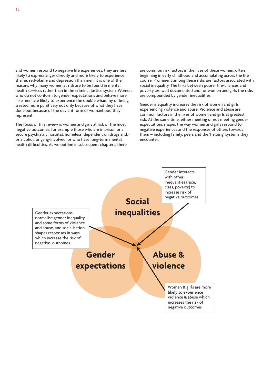and women respond to negative life experiences: they are less likely to express anger directly and more likely to experience shame, self-blame and depression than men. It is one of the reasons why many women at risk are to be found in mental health services rather than in the criminal justice system. Women who do not conform to gender expectations and behave more 'like men' are likely to experience the double whammy of being treated more punitively not only because of what they have done but because of the deviant form of womanhood they represent.

The focus of this review is women and girls at risk of the most negative outcomes, for example those who are in prison or a secure psychiatric hospital, homeless, dependent on drugs and/ or alcohol, or gang-involved, or who have long-term mental health difficulties. As we outline in subsequent chapters, there

are common risk factors in the lives of these women, often beginning in early childhood and accumulating across the life course. Prominent among these risks are factors associated with social inequality. The links between poorer life-chances and poverty are well documented and for women and girls the risks are compounded by gender inequalities.

Gender inequality increases the risk of women and girls experiencing violence and abuse. Violence and abuse are common factors in the lives of women and girls at greatest risk. At the same time, either meeting or not meeting gender expectations shapes the way women and girls respond to negative experiences and the responses of others towards them – including family, peers and the 'helping' systems they encounter.

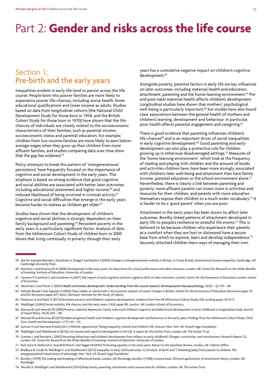## Part 2: **Gender and risks across the life course**

### Section 1: Pre-birth and the early years

Inequalities evident in early life tend to persist across the life course. People born into poorer families are more likely to experience poorer life-chances, including worse health, fewer educational qualifications and lower income as adults. Studies based on data from longitudinal cohorts (the National Child Development Study for those born in 1958, and the British Cohort Study for those born in 1970) have shown that the lifechances of individuals are closely related to the socioeconomic characteristics of their families, such as parental income, socioeconomic status and parental education. For example, children from low-income families are more likely to earn belowaverage wages when they grow up than children from more affluent families, and studies comparing data over time show that the gap has widened.<sup>59</sup>

Policy attempts to break this pattern of 'intergenerational persistence' have frequently focused on the importance of cognitive and social development in the early years. This emphasis is based on strong evidence that good cognitive and social abilities are associated with better later outcomes including educational attainment and higher income,<sup>60</sup> and reduced likelihood of being involved in criminal activity.<sup>61</sup> Cognitive and social difficulties that emerge in the early years become harder to redress as children get older.<sup>62</sup>

Studies have shown that the development of children's cognitive and social abilities is strongly dependent on their family background and parenting.<sup>63</sup> Persistent poverty in the early years is a particularly significant factor. Analysis of data from the Millennium Cohort Study of children born in 2000 shows that living continually in poverty through their early

years has a cumulative negative impact on children's cognitive development.<sup>64</sup>

Alongside poverty, parental factors in early life are key influences on later outcomes, including maternal health and education, attachment, parenting and the home-learning environment.<sup>65</sup> Preand post-natal maternal health affects children's development. Longitudinal studies have shown that mothers' psychological well-being is particularly important,<sup>66</sup> but studies have also found clear associations between the general health of mothers and children's learning, development and behaviour. In particular, poor health affects parental engagement and caregiving.<sup>67</sup>

There is good evidence that parenting influences children's life-chances<sup>68</sup> and is an important driver of social inequalities in early cognitive development.<sup>69</sup> Good parenting and early development can also play a protective role for children growing up in otherwise disadvantaged settings.70 Measures of the 'home-learning environment', which look at the frequency of reading and playing with children and the amount of books and activities children have, have been more strongly associated with children's later well-being and attainment than have family income, parental education or the school environment alone.<sup>71</sup> Nevertheless, there is clearly a link between parenting and poverty: more affluent parents can invest more in activities and resources for their children, and parents with more education themselves expose their children to a much wider vocabulary.72 It is harder to be a 'good parent' when you are poor.

Attachment in the early years has been shown to affect later outcomes. Bowlby linked patterns of attachment developed in early life to people's resilience to stressful life events.<sup>73</sup> This is believed to be because children who experience their parents as a comfort when they are hurt or distressed have a secure base from which to explore, learn and develop independence.<sup>74</sup> Securely attached children learn ways of managing their own

- 63 Galindo-Rueda F and Vignoles A (2002) Class ridden or meritocratic? An economic analysis of recent changes in Britain, Centre for the Economics of Education discussion paper 32 and IZA discussion paper 677, Bonn, Germany: Institute for the Study of Labour.
- 64 Dickerson A and Popli G (2012) Persistent poverty and children's cognitive development, evidence from the UK Millennium Cohort Study, IOE working paper 2012/2.
- 65 Waldfogel J (2004) Social mobility, life chances, and the early years, CASE paper 88, London, UK: London School of Economics.
- 66 Kiernan KE and Mensah FK (2009) Poverty, maternal depression, family status and children's cognitive and behavioural development in early childhood: A longitudinal study, *Journal of Social Policy, 38 (4) 569 – 88.*
- 67 Mensah FK and Kiernan KE (2010) Maternal general health and children's cognitive development and behaviour in the early years: Findings from the Millennium Cohort Study, *Child Care, Health and Development, 37 (1) 44 – 54.*
- 68 Duncan G and Murnane R (eds) (2011) *Whither opportunity? Rising inequality, schools and children's life chances, New York, UK: Russell Sage Foundation.*
- 69 Waldfogel J and Washbrook E (2010) *Low income and cognitive development in the UK: A report for the Sutton Trust, London, UK: The Sutton Trust.*
- 70 Gutman L and Feinstein L (2007) *Parenting behaviours and children's development from infancy to early childhood: Changes, continuities, and contributions, Research Report 22, London, UK: Centre for Research on the Wider Benefits of Learning, Institute of Education, University of London.*
- 71 Ibid; Sylva K, Melhuish E, Siraj-Blatchford I and Taggart B (2007) *Promoting equality in the early years: Report to the Equalities Review, London, UK: Cabinet Office.*
- 72 Bradbury B, Corak M, Waldfogel L and Washbrook E (2012) Inequality in early child outcomes, in J Ermisch, M Jäntti and T Smeeding (eds), *From parents to children: The intergenerational transmission of advantage, New York, US: Russell Sage Foundation.*
- 73 Bowlby J (1979) *The making and breaking of affectional bonds, London, UK: Routledge; Bowlby J (1988) A secure base: Clinincal applications of attachment theory, London, UK: Routledge.*
- 74 Moullin S, Waldfogel J and Washbrook E (2014) *Baby bonds***,** *parenting, attachment and a secure base for children, London, UK: The Sutton Trust.*

<sup>59</sup> See for example Blanden J, Goodman A, Gregg P and Machin S (2004) Changes in intergenerational mobility in Britain, in Corak M (ed), *Generational income inequality, Cambridge, UK: Cambridge University Press.*

<sup>60</sup> Feinstein L and Duckworth K (2006) *Development in the early years: Its importance for school performance and adult outcomes, London, UK: Centre for Research on the Wider Benefits of Learning, Institute of Education, University of London.*

<sup>61</sup> Carneiro P, Crawford C and Goodman A (2007) *The impact of early cognitive and non-cognitive skills on later outcomes, London: Centre for the Economics of Education, London School of Economics.*

<sup>62</sup> Hertzman C and Power C (2003) Health and human development: Understandings from life-course research, *Developmental Neuropsychology, 24 (2 – 3) 719 – 44.*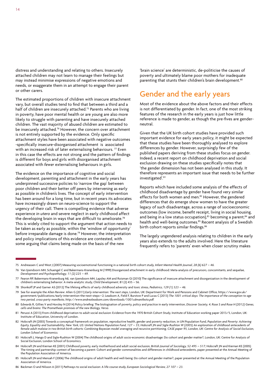distress and understanding and relating to others. Insecurely attached children may not learn to manage their feelings but may instead minimise expressions of negative emotions and needs, or exaggerate them in an attempt to engage their parent or other carers.

The estimated proportions of children with insecure attachment vary, but overall studies tend to find that between a third and a half of children are insecurely attached.<sup>75</sup> Parents who are living in poverty, have poor mental health or are young are also more likely to struggle with parenting and have insecurely attached children. The vast majority of abused children are estimated to be insecurely attached.<sup>76</sup> However, the concern over attachment is not entirely supported by the evidence. Only specific attachment styles have been associated with negative outcomes -specifically insecure-disorganised attachment is associated with an increased risk of later externalising behaviours.<sup>77</sup> Even in this case the effects are not strong and the pattern of findings is different for boys and girls with disorganised attachment associated with *fewer* externalising behaviours in girls.

The evidence on the importance of cognitive and social development, parenting and attachment in the early years has underpinned successive policies to 'narrow the gap' between poor children and their better off peers by intervening as early as possible in children's lives. The concept of early intervention has been around for a long time, but in recent years its advocates have increasingly drawn on neuro-science to support the urgency of their call. There is compelling evidence that adverse experience *in utero* and severe neglect in early childhood affect the developing brain in ways that are difficult to ameliorate.<sup>78</sup> This is widely cited to support the argument that action needs to be taken as early as possible, within the 'window of opportunity' before irreparable damage is done.<sup>79</sup> However, the interpretation and policy implications of this evidence are contested, with some arguing that claims being made on the basis of the new

'brain science' are deterministic, de-politicise the causes of poverty and ultimately blame poor mothers for inadequate parenting that stunts their children's brain development.<sup>80</sup>

### Gender and the early years

Most of the evidence about the above factors and their effects is not differentiated by gender. In fact, one of the most striking features of the research in the early years is just how little reference is made to gender, as though the pre-fives are genderneutral.

Given that the UK birth cohort studies have provided such important evidence for early years policy, it might be expected that these studies have been thoroughly analysed to explore differences by gender. However, surprisingly few of the published papers deriving from these studies focus on gender. Indeed, a recent report on childhood deprivation and social exclusion drawing on these studies specifically notes that 'the gender dimension has not been analysed in this study. It therefore represents an important issue that needs to be further investigated'*.* 81

Reports which have included some analysis of the effects of childhood disadvantage by gender have found very similar effects for both women and men.<sup>82</sup> However, the gendered differences that do emerge show women to have the greater legacy of such disadvantage, across a range of socioeconomic outcomes (low income, benefit receipt, living in social housing, and being in a low status occupation), $83$  becoming a parent, $84$  and health and well-being outcomes.<sup>85</sup> Recent analysis of a Swedish birth cohort reports similar findings.<sup>86</sup>

The largely ungendered analysis relating to children in the early years also extends to the adults involved. Here the literature frequently refers to 'parents' even when closer scrutiny makes

<sup>75</sup> Andreassen C and West J (2007) Measuring socioemotional functioning in a national birth cohort study, *Infant Mental Health Journal, 28 (6) 627 – 46.*

<sup>76</sup> Van Ijzendoorn MH, Schuengel C and Bakermans-Kranenburg M (1999) Disorganized attachment in early childhood: Meta-analysis of precursors, concomitants, and sequelae, *Development and Psychopathology, 11 (2) 225 – 49.*

<sup>77</sup> Fearon RP, Bakermans-Kranenburg MJ, van Ijzendoorn MH, Lapsley AM and Roisman GI (2010) The significance of insecure attachment and disorganization in the development of children's externalizing behavior: A meta-analytic study, *Child Development*, 81 (2) 435 – 56.

<sup>78</sup> Shonkoff JP and Garner AS (2012) The lifelong effects of early childhood adversity and toxic stress, *Pediatrics, 129 (1) 323 – 46.*

<sup>79</sup> See for example the Allen Review: Allen G (2011) *Early intervention: The next steps*, London, UK: Department for Work and Pensions and Cabinet Office, https://www.gov.uk/ government/publications/early-intervention-the-next-steps—2; Leadsom A, Field F, Burstow P and Lucas C (2013) *The 1001 critical days: The importance of the conception to age two period, cross-party manifesto, http://www.andrealeadsom.com/downloads/1001cdmanifesto.pdf.*

<sup>80</sup> Edwards R, Gillies V and Horsley N (2014) Policy briefing: The biologisation of poverty, policy and practice in early intervention, *Discover Society, 4; Rose S and Rose H (2012) Genes, cells and brains: The Promethean promises of the new Biology, Verso.*

<sup>81</sup> Peruzzi A (2013) From childhood deprivation to adult social exclusion: Evidence from the 1970 British Cohort Study, Institute of Education working paper 2013/5, London, UK: Institute of Education, University of London.

<sup>82</sup> Hobcraft JN (2003) Towards a conceptual framework on population, reproductive health, gender and poverty reduction, in UN Population Fund, Population and Poverty: Achieving<br>Equity, Equality and Sustainability, New York, *female adult malaise in two British birth cohorts: Combining Bayesian model averaging and recursive partitioning, CASE paper 95, London, UK: Centre for Analysis of Social Exclusion, London School of Economics.*

<sup>83</sup> Hobcraft J, Hango D and Sigle-Rushton W (2004) The childhood origins of adult socio-economic disadvantage: Do cohort and gender matter?, London, UK: Centre for Analysis of Social Exclusion, London School of Economics.

<sup>84</sup> Hobcraft JN and Kiernan KE (2001) Childhood poverty, early motherhood and adult social exclusion, *British Journal of Sociology, 52 495 – 517;* Hobcraft JN and Kiernan KE (2005) The timing and partnership context of becoming a parent: Cohort and gender commonalities and differences in childhood antecedents, paper presented at the Annual Meeting of the Population Association of America.

<sup>85</sup> Hobcraft JN and Mensah F (2006) The childhood origins of adult health and well-being: Do cohort and gender matter?, paper presented at the Annual Meeting of the Population Association of America.

<sup>86</sup> Bäckman O and Nilsson A (2011) Pathways to social exclusion: A life course study, *European Sociological Review, 27 107 – 23.*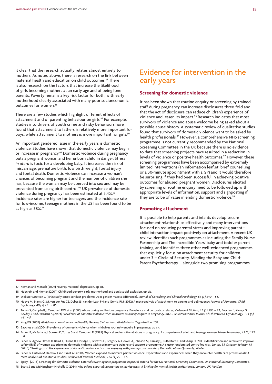it clear that the research actually relates almost entirely to mothers. As noted above, there is research on the link between maternal health and education on child outcomes.87 There is also research on the factors that increase the likelihood of girls becoming mothers at an early age and of being lone parents. Poverty remains a key risk factor for both, with early motherhood clearly associated with many poor socioeconomic outcomes for women.<sup>88</sup>

There are a few studies which highlight different effects of attachment and of parenting behaviour on girls.<sup>89</sup> For example, studies into drivers of youth crime and risky behaviours have found that attachment to fathers is relatively more important for boys, while attachment to mothers is more important for girls.<sup>90</sup>

An important gendered issue in the early years is domestic violence. Studies have shown that domestic violence may begin or increase in pregnancy.<sup>91</sup> Domestic violence during pregnancy puts a pregnant woman and her unborn child in danger. Stress *in utero* is toxic for a developing baby. It increases the risk of miscarriage, premature birth, low birth weight, foetal injury and foetal death. Domestic violence can increase a woman's chances of becoming pregnant and the number of children she has, because the woman may be coerced into sex and may be prevented from using birth control.92 UK prevalence of domestic violence during pregnancy has been estimated at 3.4%.<sup>93</sup> Incidence rates are higher for teenagers and the incidence rate for low-income, teenage mothers in the US has been found to be as high as  $38\%$ .<sup>94</sup>

### Evidence for intervention in the early years

#### **Screening for domestic violence**

It has been shown that routine enquiry or screening by trained staff during pregnancy can increase disclosures three-fold and that the act of disclosure can reduce children's experience of violence and lessen its impact.95 Research indicates that most survivors of violence and abuse welcome being asked about a possible abuse history. A systematic review of qualitative studies found that survivors of domestic violence want to be asked by health professionals.<sup>96</sup> However, a comprehensive NHS screening programme is not currently recommended by the National Screening Committee in the UK because there is no evidence to date that screening projects have resulted in a reduction in levels of violence or positive health outcomes.<sup>97</sup> However, these screening programmes have been accompanied by extremely limited interventions (an information leaflet, brief counselling or a 30-minute appointment with a GP) and it would therefore be surprising if they had been successful in achieving positive outcomes for abused, pregnant women. Disclosures elicited by screening or routine enquiry need to be followed up with appropriate levels of information, support and signposting if they are to be of value in ending domestic violence.<sup>98</sup>

#### **Promoting attachment**

It is possible to help parents and infants develop secure attachment relationships effectively and many interventions focused on reducing parental stress and improving parent– child interaction impact positively on attachment. A recent UK review identifies such programmes as including the Family Nurse Partnership and The Incredible Years' baby and toddler parent training, and identifies three other well-evidenced programmes that explicitly focus on attachment security for children under 3 – Circle of Security, Minding the Baby and Child-Parent Psychotherapy – alongside two promising programmes

89 Webster Stratton C (1996) Early onset conduct problems: Does gender make a difference?, *Journal of Consulting and Clinical Psychology, 64 (3) 540 – 51.*

91 Torres S, Campbell J, Campbell DW et al (2000) Abuse during and before pregnancy: Prevalence and cultural correlates, *Violence & Victims, 15 (3) 303 – 21; Bacchus L, Mezey G, Bewley S and Haworth A (2004) Prevalence of domestic violence when midwives routinely enquire in pregnancy, BJOG: An International Journal of Obstetrics & Gynaecology, 111 (5) 441 – 5.*

93 Bacchus et al (2004) Prevalence of domestic violence when midwives routinely enquire in pregnancy, op cit.

95 Feder G, Agnew Davies R, Baird K, Dunne D, Eldridge S, Griffiths C, Gregory A, Howell A, Johnson M, Ramsay J, Rutterford C and Sharp D (2011) Identification and referral to improve safety (IRIS) of women experiencing domestic violence with a primary care training and support programme: A cluster randomised controlled trial, *Lancet*, 13 October; Johnson M *(2010) 'Herding cats': The experiences of domestic violence advocates engaging with primary care providers, Domestic Abuse Quarterly, Winter.*

- 97 Spiby J (2013) *Screening for domestic violence: External review against programme appraisal criteria for the UK National Screening Committee, UK National Screening Committee.*
- 98 Scott S and McNaughton-Nicholls C (2014) *Why asking about abuse matters to service users: A briefing for mental health professionals, London, UK: NatCen.*

<sup>87</sup> Kiernan and Mensah (2009) Poverty, maternal depression, op cit.

<sup>88</sup> Hobcraft and Kiernan (2001) Childhood poverty, early motherhood and adult social exclusion, op cit.

<sup>90</sup> Hoeve M, Stams GJJM, van der Put CE, Dubas JS, van der Laan PH and Gerris JRM (2012) A meta-analysis of attachment to parents and delinquency, *Journal of Abnormal Child Psychology, 40 (5) 771 – 85.*

<sup>92</sup> Krug EG (2002) *World report on violence and health, Geneva, Switzerland: World Health Organization, 102.*

<sup>94</sup> Parker B, McFarlane J, Soeken K, Torres S and Campbell D (1993) Physical and emotional abuse in pregnancy: A comparison of adult and teenage women, *Nurse Researcher, 42 (3) 173 – 8.*

<sup>96</sup> Feder G, Hutson M, Ramsay J and Taket AR (2006) Women exposed to intimate partner violence: Expectations and experiences when they encounter health care professionals: A meta-analysis of qualitative studies, *Archives of Internal Medicine, 166 (1) 22 – 37.*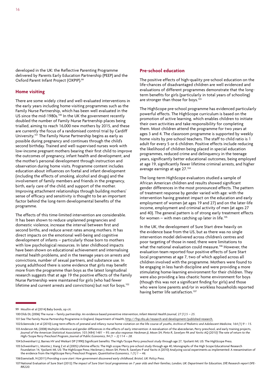16

developed in the UK: the Reflective Parenting Programme delivered by Parents Early Education Partnership (PEEP) and the Oxford Parent Infant Project (OXPIP).<sup>99</sup>

#### **Home visiting**

There are some widely cited and well-evaluated interventions in the early years including home-visiting programmes such as the Family Nurse Partnership, which has been well evaluated in the US since the mid-1980s.<sup>100</sup> In the UK the government recently doubled the number of Family Nurse Partnership places being trialled, aiming to reach 16,000 new mothers by 2015, and these are currently the focus of a randomised control trial by Cardiff University.101 The Family Nurse Partnership begins as early as possible during pregnancy and continues through the child's second birthday. Trained and well-supervised nurses work with low-income pregnant mothers bearing their first child to improve the outcomes of pregnancy, infant health and development, and the mother's personal development through instruction and observation during home visits. Programme content includes education about influences on foetal and infant development (including the effects of smoking, alcohol and drugs) and the involvement of family members and friends in the pregnancy, birth, early care of the child, and support of the mother. Improving attachment relationships through building mothers' sense of efficacy and sensitivity is thought to be an important factor behind the long-term developmental benefits of the programme.

The effects of this time-limited intervention are considerable. It has been shown to reduce unplanned pregnancies and domestic violence, increase the interval between first and second births, and reduce arrest rates among mothers. It has direct impacts on the emotional well-being and cognitive development of infants – particularly those born to mothers with low psychological resources. In later childhood impacts have been shown on educational achievement and internalising mental health problems, and in the teenage years on arrests and convictions, number of sexual partners, and substance use. In young adulthood there is some evidence that girls may benefit more from the programme than boys as the latest longitudinal research suggests that at age 19 the positive effects of the Family Nurse Partnership were maintained for girls (who had fewer lifetime and current arrests and convictions) but not for boys.<sup>102</sup>

#### **Pre-school education**

The positive effects of high-quality pre-school education on the life-chances of disadvantaged children are well evidenced and evaluations of different programmes demonstrate that the longterm benefits for girls (particularly in total years of schooling) are stronger than those for boys.<sup>103</sup>

The HighScope pre-school programme has evidenced particularly powerful effects. The HighScope curriculum is based on the promotion of active learning, which enables children to initiate their own activities and take responsibility for completing them. Most children attend the programme for two years at ages 3 and 4. The classroom programme is supported by weekly home visits by pre-school teachers. The staff to child ratio is 1 adult for every 5 or 6 children. Positive effects include reducing the likelihood of children being placed in special education programmes, reduced crime and delinquency in the teenage years, significantly better educational outcomes, being employed at age 19, significantly fewer lifetime criminal arrests, and higher average earnings at age 27.104

The long-term HighScope evaluators studied a sample of African American children and results showed significant gender differences in the most pronounced effects. The pattern of treatment response by gender varied with age: with the intervention having greatest impact on the education and early employment of women (at ages 19 and 27) and on the later-life income, employment and criminal activity of men (at ages 27 and 40). The general pattern is of strong early treatment effects for women – with men catching up later in life.<sup>105</sup>

In the UK, the development of Sure Start drew heavily on the evidence base from the US, but as there was no single intervention model delivered across children's centres and poor targeting of those in need, there were limitations to what the national evaluation could measure.106 However, the evaluation team reported four positive effects of Sure Start local programmes at age 7, two of which applied across all children involved with the programme. Mothers were found to be engaging in less harsh discipline and were providing a more stimulating home-learning environment for their children. They were also providing a less chaotic home environment for boys (though this was not a significant finding for girls) and those who were lone parents and/or in workless households reported having better life satisfaction.<sup>107</sup>

<sup>99</sup> Moullin et al (2014) Baby bonds, op cit.

<sup>100</sup>Olds DL (2006) The nurse – family partnership: An evidence-based preventive intervention, *Infant Mental Health Journal, 27 (1) 5 – 25.*

<sup>101</sup> See The Family Nurse Partnership Programme in England, Department of Health, http://fnp.nhs.uk/research-and-development/published-research.

<sup>102</sup>Eckenrode J et al (2010) Long-term effects of prenatal and infancy nurse home visitation on the life course of youths, *Archive of Pediatric and Adolescent Medicine, 164 (1) 9 – 15.*

<sup>103</sup>Anderson ML (2008) Multiple inference and gender differences in the effects of early intervention: A reevaluation of the abecedarian, Perry preschool, and early training projects, *Journal of the American Statistical Association, 103 (484) 1481 – 95; see also response: Heckman JJ, Moon SH, Pinto R, Savelyev PA and Yavitz AQ (2010) The rate of return to the High/Scope Perry Preschool Program, Journal of Public Economics, 94 (1 – 2) 114 – 28.*

<sup>104</sup>Schweinhart LJ, Barnes HV and Weikart DP (1990) Significant benefits: The High/Scope Perry preschool study through age 27, Ypsilanti MI, US: The HighScope Press.

<sup>105</sup>Schweinhart L, Montie J, Xiang Z et al (2005) Lifetime effects: The High scope/Perry pre-school study through age 40, Monographs of the High Scope Educational Research Foundation 14, Ypsilanti MI, US: The HighScope Press; Heckman J, Moon SH, Pinto R, Savelyev P and Yavitz A (2010) Analyzing social experiments as implemented: A reexamination of the evidence from the HighScope Perry Preschool Program, *Quantitative Economics, 1 (1) 1 – 46.*

<sup>106</sup>Eisenstadt, N (2011) *Providing a sure start: How government discovered early childhood, Bristol, UK: Policy Press.*

<sup>107</sup>National Evaluation of Sure Start (2012) *The impact of Sure Start local programmes on 7 year olds and their families, London, UK: Department for Education, DfE Research report DFE-RR220.*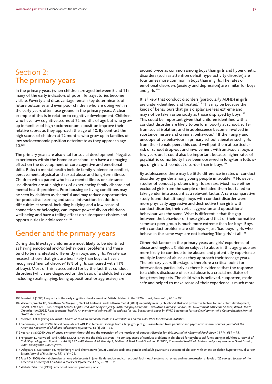#### Section 2: The primary years

In the primary years (when children are aged between 5 and 11) many of the early indicators of poor life trajectories become visible. Poverty and disadvantage remain key determinants of future outcomes and even poor children who are doing well in the early years often lose ground in the primary years. A clear example of this is in relation to cognitive development. Children who have low cognitive scores at 22 months of age but who grow up in families of high socio-economic position improve their relative scores as they approach the age of 10. By contrast the high scores of children at 22 months who grow up in families of low socioeconomic position deteriorate as they approach age 10.108

The primary years are also vital for social development. Negative experiences within the home or at school can have a damaging effect on the development of core cognitive and emotional skills. Risks to mental health include family violence or conflict, bereavement, physical and sexual abuse and long-term illness. Children with a parent who has a mental illness or substance use disorder are at a high risk of experiencing family discord and mental health problems. Poor housing or living conditions may be seen by children as shameful and may reduce opportunities for productive learning and social interaction. In addition, difficulties at school, including bullying and a low sense of connection or belonging, can impact powerfully on children's well-being and have a telling effect on subsequent choices and opportunities in adolescence.109

## Gender and the primary years

During this life-stage children are most likely to be identified as having emotional and/or behavioural problems and these tend to be manifested differently in boys and girls. Prevalence research shows that girls are less likely than boys to have a recognised 'mental disorder' (8% of girls compared with 11% of boys). Most of this is accounted for by the fact that conduct disorders (which are diagnosed on the basis of a child's behaviour including stealing, lying, being oppositional or aggressive) are

around twice as common among boys than girls and hyperkinetic disorders (such as attention deficit hyperactivity disorder) are four times more common in boys than in girls. The rates of emotional disorders (anxiety and depression) are similar for boys and girls. $110$ 

It is likely that conduct disorders (particularly ADHD) in girls are under-identified and treated.<sup>111</sup> This may be because the kinds of behaviours that girls display are less extreme and may not be taken as seriously as those displayed by boys.<sup>112</sup> This could be important given that children identified with a conduct disorder are likely to perform poorly at school, suffer from social isolation, and in adolescence become involved in substance misuse and criminal behaviour.<sup>113</sup> If their angry and uncooperative behaviour in primary school alienates such girls from their female peers this could well put them at particular risk of school drop-out and involvement with anti-social boys a few years on. It could also be important because higher rates of psychiatric comorbidity have been observed in long-term followups of girls with conduct disorder than in boys.<sup>114</sup>

By adolescence there may be little difference in rates of conduct disorder by gender among young people in trouble.<sup>115</sup> However, studies of conduct problems in girls are rare. Most have either excluded girls from the sample or included them but failed to take gender into account as a relevant factor. A rare comparative study found that although boys with conduct disorder were more physically aggressive and destructive than girls with conduct disorder, their verbal aggression and oppositional behaviour was the same. What is different is that the gap between the behaviour of these girls and that of their normative same-sex peer group is much more extreme than for boys. Boys with conduct problems are still boys – just 'bad boys'; girls who behave in the same ways are not behaving 'like girls' at all.<sup>116</sup>

Other risk factors in the primary years are girls' experience of abuse and neglect. Children subject to abuse in this age group are more likely to continue to be abused and potentially experience multiple forms of abuse as they approach their teenage years. The primary years life-stage is therefore a critical point for intervention, particularly as there is evidence that the response to a child's disclosure of sexual abuse is a crucial mediator of long-term impacts. The child who is believed, supported, made safe and helped to make sense of their experience is much more

108Feinstein L (2003) Inequality in the early cognitive development of British children in the 1970 cohort, *Economica, 70 3 – 97.*

115Fazell D (2008) Mental disorders among adolescents in juvenile detention and correctional facilities: A systematic review and metaregression anlaysis of 25 surveys, *Journal of the American Academy of Child and Adolescent Psychiatry, 47 (9) 1010 – 19.*

116Webster Stratton (1996) Early onset conduct problems, op cit.

<sup>109</sup>Walker S, Wachs TD, Grantham-McGregor S, Black M, Nelson C and Huffman C et al (2011) Inequality in early childhood: Risk and protective factors for early child development, *Lancet, 378 1325 – 38; Foresight Mental Capital and Wellbeing Project (2008) Final project report – executive summary, London, UK: Government Office for Science; World Health Organization (2012) Risks to mental health: An overview of vulnerabilities and risk factors, background paper by WHO Secretariat for the Development of a Comprehensive Mental Health Action Plan.*

<sup>110</sup>Meltzer H et al (1999) *The mental health of children and adolescents in Great Britain, London, UK: Office for National Statistics.*

<sup>111</sup>Biederman J et al (1999) Clinical correlates of ADHD in females: Findings from a large group of girls ascertained from pediatric and psychiatric referral sources, *Journal of the American Academy of Child and Adolescent Psychiatry*, 38 (8) 966 – 75.

<sup>112</sup>Keenan et al (2010) Age of onset, symptom threshold and the expansion of the nosology of conduct disorder for girls, *Journal of Abnormal Psychology, 119 (4) 689 – 98.*

<sup>113</sup>Fergusson D, Horwood J and Ridder E (2005) Show me the child at seven: The consequences of conduct problems in childhood for psychosocial functioning in adulthood, *Journal of Child Psychology and Psychiatry, 46 (8) 837 – 49; Green H, McGinnity A, Meltzer H, Ford T and Goodman R (2005) The mental health of children and young people in Great Britain, 2004, Basingstoke, UK: Palgrave.*

<sup>114</sup>Dalsgaard S, Mortensen PB, Frydenberg M and Thomsen PH (2002) Conduct problems, gender and adult psychiatric outcome of children with attention-deficit hyperactivity disorder, *British Journal of Psychiatry, 181 416 – 21.*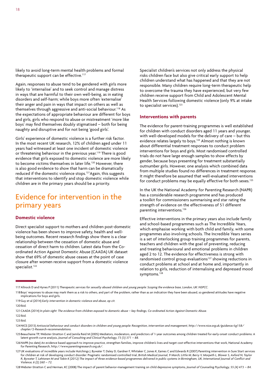likely to avoid long-term mental health problems and formal therapeutic support can be effective.<sup>117</sup>

Again, responses to abuse tend to be gendered with girls more likely to 'internalise' and to seek control and manage distress in ways that are harmful to their own well-being, as in eating disorders and self-harm; while boys more often 'externalise' their anger and pain in ways that impact on others as well as themselves through aggressive and anti-social behaviour.<sup>118</sup> As the expectations of appropriate behaviour are different for boys and girls, girls who respond to abuse or mistreatment 'more like boys' may find themselves doubly stigmatised – both for being naughty and disruptive and for not being 'good girls'.

Girls' experience of domestic violence is a further risk factor. In the most recent UK research, 12% of children aged under 11 years had witnessed at least one incident of domestic violence or threatening behaviour in the previous year.<sup>119</sup> There is good evidence that girls exposed to domestic violence are more likely to become victims themselves in later life.120 However, there is also good evidence to show that harm can be dramatically reduced if the domestic violence stops.121Again, this suggests that interventions to identify and stop domestic violence while children are in the primary years should be a priority.

### Evidence for intervention in the primary years

#### **Domestic violence**

Direct specialist support to mothers and children post-domestic violence has been shown to improve safety, health and wellbeing outcomes. Recent research findings show there is a clear relationship between the cessation of domestic abuse and cessation of direct harm to children. Latest data from the Coordinated Action Against Domestic Abuse (CAADA) UK dataset show that 69% of domestic abuse ceases at the point of case closure after women receive support from a domestic violence specialist.<sup>122</sup>

Specialist children's services not only address the physical risks children face but also give critical early support to help children understand what has happened and that they are not responsible. Many children require long-term therapeutic help to overcome the trauma they have experienced, but very few children receive support from Child and Adolescent Mental Health Services following domestic violence (only 9% at intake to specialist services).<sup>123</sup>

#### **Interventions with parents**

The evidence for parent-training programmes is well established for children with conduct disorders aged 11 years and younger, with well-developed models for the delivery of care – but this evidence relates largely to boys.<sup>124</sup> Almost nothing is known about differential treatment responses to conduct problem interventions for boys and girls. Most randomised controlled trials do not have large enough samples to show effects by gender, because boys presenting for treatment substantially outnumber girls. However, one analysis which combined data from multiple studies found no differences in treatment response. It might therefore be assumed that well-evaluated interventions for conduct problems may be equally effective for both sexes.<sup>125</sup>

In the UK the National Academy for Parenting Research (NAPR) has a considerable research programme and has produced a toolkit for commissioners summarising and star rating the strength of evidence on the effectiveness of 51 different parenting interventions.126

Effective interventions in the primary years also include family and school-based programmes such as The Incredible Years, which emphasise working with both child and family, with some programmes also involving schools. The Incredible Years series is a set of interlocking group training programmes for parents, teachers and children with the goal of preventing, reducing and treating behavioural and emotional problems in children aged 2 to 12. The evidence for effectiveness is strong with randomised control group evaluations<sup>127</sup> showing reductions in conduct problems at school and at home and, importantly in relation to girls, reduction of internalising and depressed mood symptoms.<sup>128</sup>

117Allnock D and Hynes P (2011) *Therapeutic services for sexually abused children and young people: Scoping the evidence base, London, UK: NSPCC.*

128Webster-Stratton C and Herman, KC (2008) The impact of parent behavior-management training on child depressive symptoms, *Journal of Counseling Psychology, 55 (4) 473 – 84.*

<sup>118</sup>Boys' responses to abuse may mark them as a risk to others, and part of the problem, rather than as an indication they have been abused, so gendered attitudes have negative implications for boys and girls.

<sup>119</sup>Guy et al (2014) *Early intervention in domestic violence and abuse, op cit.*

<sup>120</sup>Ibid.

<sup>121</sup>CAADA (2014) *In plain sight: The evidence from children exposed to domestic abuse – key findings, Co-ordinated Action Against Domestic Abuse.* 122Ibid.

<sup>123</sup>Ibid.

<sup>124</sup>NICE (2013) *Antisocial behaviour and conduct disorders in children and young people: Recognition, intervention and management, http://www.nice.org.uk/guidance/cg158/ chapter/2-Research-recommendations.*

<sup>125</sup>Beauchaine TP, Webster-Stratton C and Jamila Reid M (2005) Mediators, moderators, and predictors of 1-year outcomes among children treated for early-onset conduct problems: A latent growth curve analysis, *Journal of Consulting and Clinical Psychology, 73 (3) 371 – 88.*

<sup>126</sup>NAPR (no date) An evidence based approach to improve practice, strengthen families, improve children's lives and target cost-effective interventions that work, National Academy for Parenting Research, http://www.parentingresearch.org.uk/.

<sup>127</sup>UK evaluations of incredible years include Hutchings J, Bywater T, Daley D, Gardner F, Whitaker C, Jones K, Eames C and Edwards R (2007) Parenting intervention in Sure Start services for children at risk of developing conduct disorder: Pragmatic randomised controlled trial, *British Medical Journal, 9 March; Little M, Berry V, Morpeth L, Blower S, Axford N, Taylor R, Bywater T, Lehtonen M and Tobin K (2012) The impact of three evidence-based programmes delivered in public systems in Birmingham, UK, International Journal of Conflict and Violence, 6 (2) 260 – 72.*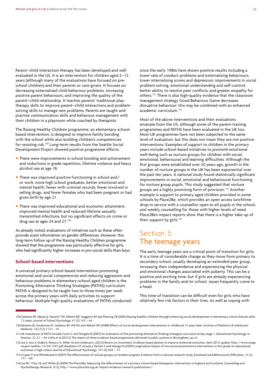Parent–child interaction therapy has been developed and well evaluated in the US. It is an intervention for children aged 2–12 years (although many of the evaluations have focused on preschool children) and their parents or care-givers. It focuses on decreasing externalised child behaviour problems, increasing positive parent behaviours, and improving the quality of the parent–child relationship. It teaches parents' traditional playtherapy skills to improve parent–child interactions and problemsolving skills to manage new problems. Parents are taught and practise communication skills and behaviour management with their children in a playroom while coached by therapists.

The Raising Healthy Children programme, an elementary-schoolbased intervention, is designed to improve family bonding with the school while also building children's competencies for resisting risk.129 Long-term results from the Seattle Social Development Project showed positive programme effects:

- There were improvements in school bonding and achievement and reductions in grade repetition, lifetime violence and heavy alcohol use at age 18.
- There was improved positive functioning in school and/ or work, more high school graduates, better emotional and mental health, fewer with criminal records, fewer involved in selling drugs, and fewer females who had been pregnant or had given birth by age 21.
- There was improved educational and economic attainment, improved mental health and reduced lifetime sexually transmitted infections, but no significant effects on crime or drug use at ages 24 and 27.130

As already noted, evaluations of initiatives such as these often provide scant information on gender differences. However, this long-term follow up of the Raising Healthy Children programme showed that the programme was particularly effective for girls, who had significantly higher increases in pro-social skills than boys.

#### **School-based interventions**

A universal primary-school-based intervention promoting emotional and social competencies and reducing aggression and behaviour problems in elementary-school-aged children is the Promoting Alternative Thinking Strategies (PATHS) curriculum. PATHS is designed to be taught two to three times per week across the primary years with daily activities to support behaviour. Multiple high-quality evaluations of PATHS conducted since the early 1980s have shown positive results including a lower rate of conduct problems and externalising behaviours; lower internalising scores and depression; improvements in social problem solving, emotional understanding and self-control; better ability to resolve peer conflicts; and greater empathy for others.131 There is also high-quality evidence that the classroom management strategy Good Behaviour Game decreases disruptive behaviour; this may be combined with an enhanced academic curriculum.<sup>132</sup>

Most of the above interventions and their evaluations emanate from the US, although some of the parent-training programmes and PATHS have been evaluated in the UK too. Most UK programmes have not been subjected to the same level of evaluation, but this does not mean they are not positive interventions. Examples of support to children in the primary years include school-based initiatives to promote emotional well-being such as nurture groups for children with social, emotional, behavioural and learning difficulties. Although the first groups were established over 30 years ago, growth in the number of nurture groups in the UK has been exponential over the past ten years. A national study found statistically significant improvements in social, emotional and behavioural functioning for nurture group pupils. This study suggested that nurture groups are a highly promising form of provision.133 Another example is support to primary aged children provided in some schools by Place2Be, which provides an open access lunchtime drop-in service with a counsellor open to all pupils in the school, and weekly counselling for those with higher levels of need. Place2Be's impact reports show that there is a higher take-up of their support by girls.<sup>134</sup>

#### Section 3: The teenage years

The early teenage years are a critical point of transition for girls. It is a time of considerable change as they move from primary to secondary school, usually developing an extended peer group, increasing their independence and experiencing the physical and emotional changes associated with puberty. This can be a positive and exciting time, but if girls are already experiencing problems in the family and/or school, issues frequently come to a head.

This time of transition can be difficult even for girls who have relatively few risk factors in their lives. As well as coping with

<sup>129</sup>Catalano RF, Mazza JJ, Harachi TW, Abbott RD, Haggerty KP and Fleming CB (2003) Raising healthy children through enhancing social development in elementary school: Results after 1.5 years, *Journal of School Psychology, 41 (2) 143 – 64.*

<sup>130</sup>Hawkins JD, Kosterman R, Catalano RF, Hill KG and Abbott RD (2008) Effects of social development interventions in childhood 15 years later, *Archives of Pediatrics & Adolescent Medicine, 162 (12) 1133 – 41.*

<sup>131</sup>UK evaluations of PATH include Curtis C and Norgate R (2007) An evaluation of the promoting alternative thinking strategies curriculum at key stage 1, *Educational Psychology in Practice, 23 33 – 44; Little et al (2012) The impact of three evidence-based programmes delivered in public systems in Birmingham, op cit.*

<sup>132</sup>Lee S, Aos S, Drake E, Penucci A, Miller M and Anderson L (2012) *Return on investment: Evidence-based options to improve statewide outcomes, April 2012 update, http://www.wsipp.* wa.gov/rptfiles/12-04-1201.pdf; Bradshaw CP, Zmuda J, Kellam S and Ialongo N (2009) Longitudinal impact of two universal preventive interventions in first grade on educational *outcomes in high school, Journal of Educational Psychology, 101 (4) 926 – 37.*

<sup>133</sup>Cooper P and Whitebread D (2007) The effectiveness of nurture groups on student progress: Evidence from a national research study, *Emotional and Behavioural Difficulties, 12 (3) 171 – 90.*

<sup>134</sup>Lee RC, Tiley CE and White JE (2009) The Place2Be: Measuring the effectiveness of a primary school-based therapeutic intervention in England and Scotland, *Counselling and Psychotherapy Research, 9 (3), http://www.place2be.org.uk/impact-evidence/research-publications/.*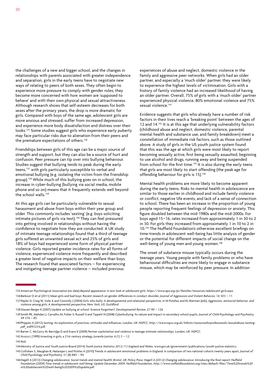the challenges of a new and bigger school, and the changes in relationships with parents associated with greater independence and separation, girls in the early teens have to negotiate new ways of relating to peers of both sexes. They often begin to experience more pressure to comply with gender roles; they become more concerned with how women are 'supposed to behave' and with their own physical and sexual attractiveness. Although research shows that self-esteem decreases for both sexes after the primary years, the drop is more dramatic for girls. Compared with boys of the same age, adolescent girls are more anxious and stressed, suffer from increased depression, and experience more body dissatisfaction and distress over their looks.135 Some studies suggest girls who experience early puberty may face particular risks due to alienation from their peers and the premature expectations of others.<sup>136</sup>

Friendships between girls of this age can be a major source of strength and support, but they can also be a source of hurt and confusion. Peer pressure can tip over into bullying behaviour. Studies suggest that bullying tends to peak during the early teens,<sup>137</sup> with girls particularly susceptible to verbal and emotional bullying (e.g. isolating the victim from the friendship group).138 While much of this bullying goes on in school, the increase in cyber-bullying (bullying via social media, mobile phone and so on) means that it frequently extends well beyond the school walls.<sup>139</sup>

At this age girls can be particularly vulnerable to sexual harassment and abuse from boys within their year group and older. This commonly includes 'sexting' (e.g. boys soliciting intimate pictures of girls via text).<sup>140</sup> They can feel pressured into getting involved in relationships without having the confidence to negotiate how they are conducted. A UK study of intimate teenage relationships found that a third of teenage girls suffered an unwanted sexual act and 25% of girls and 18% of boys had experienced some form of physical partner violence. Girls reported greater incidence rates for all forms of violence, experienced violence more frequently and described a greater level of negative impacts on their welfare than boys. The research found that associated factors – for experiencing and instigating teenage partner violence – included previous

experiences of abuse and neglect, domestic violence in the family and aggressive peer networks. When girls had an older partner, and especially a 'much older' partner, they were likely to experience the highest levels of victimisation. Girls with a history of family violence had an increased likelihood of having an older partner. Overall, 75% of girls with a 'much older' partner experienced physical violence, 80% emotional violence and 75% sexual violence.<sup>141</sup>

Evidence suggests that girls who already have a number of risk factors in their lives reach a 'breaking point' between the ages of 12 and 14.<sup>142</sup> It is at this age that underlying vulnerability factors (childhood abuse and neglect, domestic violence, parental mental health and substance use, and family breakdown) meet a constellation of immediate risk factors, such as those outlined above. A study of girls in the US youth justice system found that this was the age at which girls were most likely to report becoming sexually active, first being sexually assaulted, beginning to use alcohol and drugs, running away and being suspended from school for the first time.<sup>143</sup> It is also during the early teens that girls are most likely to start offending (the peak age for offending behaviour for girls is 15).<sup>144</sup>

Mental health problems are more likely to become apparent during the early teens. Risks to mental health in adolescence are similar to those earlier in childhood and include family violence or conflict, negative life events, and lack of a sense of connection to school. There has been an increase in the proportion of young people reporting frequent feelings of depression or anxiety. This figure doubled between the mid-1980s and the mid-2000s. For boys aged 15–16, rates increased from approximately 1 in 30 to 2 in 30. For girls they increased from approximately 1 in 10 to 2 in 10.<sup>145</sup> The Nuffield Foundation's otherwise excellent briefings on time-trends in adolescent well-being has little analysis of gender or the potential for different impacts of social change on the well-being of young men and young women.<sup>146</sup>

The onset of substance misuse typically occurs during the teenage years. Young people with family problems or who have behavioural difficulties are more likely to engage in substance misuse, which may be reinforced by peer pressure. In addition

136Berkout O et al (2011) Mean girls and bad boys: Recent research on gender differences in conduct disorder, *Journal of Aggression and Violent Behavior, 16 503 – 11.*

138Stassen Berger K (2007) Update on bullying at school: Science forgotten?, *Developmental Review, 27 90 – 126.*

141Barter C, McCarry M, Berridge D and Evans K (2009) *Partner exploitation and violence in teenage intimate relationships, London, UK: NSPCC.*

142Acoca L (1999) Investing in girls, a 21st century strategy, *Juvenile Justice, 6 (1) 3 – 12.*

143Ibid.

146Hagell A (2012) *Changing adolescence: Social trends and mental health, Bristol, UK: Policy Press; Hagell A (2012) Changing adolescence: Introducing the final report; Nuffield Foundation (2009) Time trends in adolescent well-being: Update December 2009, Nuffield Foundation, http://www.nuffieldfoundation.org/sites/default/files/Time%20trends%20 in%20adolescent%20well-being%202009%20update.pdf.*

<sup>135</sup>American Psychological Association (no date) *Beyond appearance: A new look at adolescent girls, https://www.apa.org/pi/families/resources/adolescent-girls.aspx.*

<sup>137</sup>Pepler D, Craig W, Yuile A and Connolly J (2004) Girls who bully: A developmental and relational perspective, in M Putallaz and KL Bierman (eds), *Aggression, antisocial behavior, and violence among girls: A developmental perspective, New York, US: Guildford.*

<sup>139</sup>Smith PK, Mahdavi J, Carvalho M, Fisher S, Russell S and Tippett N (2008) Cyberbullying: Its nature and impact in secondary school pupils, *Journal of Child Psychology and Psychiatry, 49 376 – 85.*

<sup>140</sup>Phippen A (2012) *Sexting: An exploration of practices, attitudes and influences, London, UK: NSPCC, http://www.nspcc.org.uk/Inform/resourcesforprofessionals/sexualabuse/sextingpdf\_wdf93254.pdf.*

<sup>144</sup>Ministry of Justice and Youth Justice Board (2014) *Youth Justice Statistics 2012/13 England and Wales,* www.gov.uk/government/publications/youth-justice-statistics.

<sup>145</sup>Collishaw S, Maughan B, Natarajan L and Pickles A (2010) Trends in adolescent emotional problems in England: A comparison of two national cohorts twenty years apart, *Journal of Child Psychology and Psychiatry, 51 (8) 885 – 94.*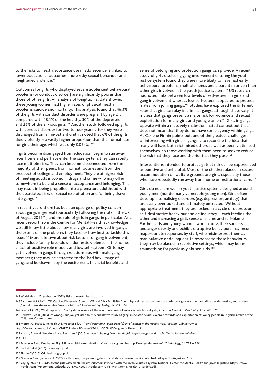to the risks to health, substance use in adolescence is linked to lower educational outcomes, more risky sexual behaviour and heightened violence.<sup>147</sup>

Outcomes for girls who displayed severe adolescent behavioural problems (or conduct disorder) are significantly poorer than those of other girls. An analysis of longitudinal data showed these young women had higher rates of physical health problems, suicide and mortality. This analysis found that 46.3% of the girls with conduct disorder were pregnant by age 21, compared with 18.1% of the healthy, 30% of the depressed and 23% of the anxious girls.<sup>148</sup> Another study followed up girls with conduct disorder for two to four years after they were discharged from an in-patient unit; it noted that 6% of the girls died violently – a vastly higher proportion than the normal rate for girls their age, which was only 0.034%.<sup>149</sup>

If girls become disengaged from education, begin to run away from home and perhaps enter the care system, they can rapidly face multiple risks. They can become disconnected from the majority of their peers, from normal routines and from the prospect of college and employment. They are at higher risk of meeting adults involved in drugs and crime who may offer somewhere to be and a sense of acceptance and belonging. This may result in being propelled into a premature adulthood with the associated risks of sexual exploitation and/or being drawn into gangs.150

In recent years, there has been an upsurge of policy concern about gangs in general (particularly following the riots in the UK of August 2011<sup>151</sup>) and the role of girls in gangs, in particular. As a recent report from the Centre for Mental Health acknowledges, we still know little about how many girls are involved in gangs, the extent of the problems they face, or how best to tackle this issue.<sup>152</sup> More is known about risk factors for gang involvement; they include family breakdown, domestic violence in the home, a lack of positive role models and low self-esteem. Girls may get involved in gangs through relationships with male gang members; they may be attracted to the 'bad boy' image of gangs and be drawn in by the excitement, financial benefits and

sense of belonging and protection gangs can provide. A recent study of girls disclosing gang involvement entering the youth justice system found they were more likely to have had early behavioural problems, multiple needs and a parent in prison than other girls involved in the youth justice system.<sup>153</sup> US research has noted links between low levels of self-esteem in girls and gang involvement whereas low self-esteem appeared to protect males from joining gangs.154 Studies have explored the different roles that girls can play in criminal gangs; although these vary, it is clear that gangs present a major risk for violence and sexual exploitation for many girls and young women.<sup>155</sup> Girls in gangs operate within a massively male-dominated context but that does not mean that they do not have some agency within gangs. As Carlene Firmin points out, one of the greatest challenges of intervening with girls in gangs is to reconcile the idea that many will have both victimised others as well as been victimised themselves, so those working with them need to seek to reduce the risk that they face and the risk that they pose.<sup>156</sup>

Interventions intended to protect girls at risk can be experienced as punitive and unhelpful. Most of the children placed in secure accommodation on welfare grounds are girls, especially those who have repeatedly run away from home or institutional care.<sup>157</sup>

Girls do not fare well in youth justice systems designed around young men (nor do many vulnerable young men). Girls often develop internalising disorders (e.g. depression, anxiety) that are easily overlooked and ultimately untreated. Without appropriate treatment, they are locked in a cycle of depression, self-destructive behaviour and delinquency – each feeding the other and increasing a girl's sense of shame and self-blame. Further, girls and young women who express their sadness and anger overtly and exhibit disruptive behaviours may incur inappropriate responses by staff, who misinterpret them as manipulative or delinquent. In response to these behaviours, they may be placed in restrictive settings, which may be retraumatising for previously abused girls.158

http://www.natcen.ac.uk/media/769712/the%20august%20riots%20in%20england%20web.pdf

155Beckett et al (2013) It's wrong, op cit.

156Firmin C (2013) Criminal gangs, op cit.

<sup>147</sup>World Health Organization (2012) Risks to mental health, op cit.

<sup>148</sup>Bardone AM, Moffitt TE, Caspi A, Dickson N, Stanton WR and Silva PA (1998) Adult physical health outcomes of adolescent girls with conduct disorder, depression, and anxiety, *Journal of the American Academy of Child and Adolescent Psychiatry, 37 594 – 601.*

<sup>149</sup>Pajer KA (1998) What happens to 'bad' girls? A review of the adult outcomes of antisocial adolescent girls, *American Journal of Psychiatry, 155 862 – 70.*

<sup>150</sup>Beckett H et al (2013) It's wrong… but you get used to it: A qualitative study of gang-associated sexual violence towards, and exploitation of, young people in England, Office of the Children's Commissioner.

<sup>151</sup>Morrell G, Scott S, McNeish D & Webster S (2011) *Understanding young people's involvement in the August riots, NatCen/Cabinet Office*

<sup>152</sup>Khan L, Bryce H, Saunders A and Plumtree A (2013) *A need to belong: What leads girls to join gangs, London, UK: Centre for Mental Health.* 153Ibid.

<sup>154</sup>Esbenson F and Deschanes EP (1998) A multisite examination of youth gang membership: Does gender matter?, *Criminology, 36 729 – 828.*

<sup>157</sup>Goldson B and Jamieson J (2002) Youth crime, the 'parenting deficit' and state intervention: A contextual critique, *Youth Justice, 2 82.*

<sup>158</sup>Veysey BM (2003) Adolescent girls with mental health disorders involved with the juvenile justice system, National Center for Mental Health and Juvenile Justice, http://www. ncmhjj.com/wp-content/uploads/2013/07/2003\_Adolescent-Girls-with-Mental-Health-Disorders.pdf.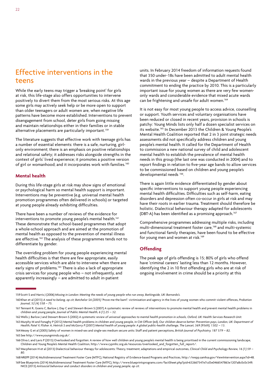### Effective interventions in the teens

While the early teens may trigger a 'breaking point' for girls at risk, this life-stage also offers opportunities to intervene positively to divert them from the most serious risks. At this age some girls may actively seek help or be more open to support than older teenagers or adult women are, when negative life patterns have become more established. Interventions to prevent disengagement from school, deter girls from going missing and maintain relationships either in their families or in stable alternative placements are particularly important.<sup>159</sup>

The literature suggests that effective work with teenage girls has a number of essential elements: there is a safe, nurturing, girlonly environment; there is an emphasis on positive relationships and relational safety; it addresses risks alongside strengths in the context of girls' lived experience; it promotes a positive version of girl or womanhood; and it incorporates work with families.<sup>160</sup>

#### **Mental health**

During this life-stage girls at risk may show signs of emotional or psychological harm so mental health support is important. Interventions may be preventive (e.g. universal mental health promotion programmes often delivered in schools) or targeted at young people already exhibiting difficulties.

There have been a number of reviews of the evidence for interventions to promote young people's mental health.<sup>161</sup> These demonstrate that school-based programmes that adopt a whole-school approach and are aimed at the promotion of mental health as opposed to the prevention of mental illness are effective.<sup>162</sup> The analysis of these programmes tends not to differentiate by gender.

The overriding problem for young people experiencing mental health difficulties is that there are few appropriate, easily accessible services which are able to intervene when there are early signs of problems.<sup>163</sup> There is also a lack of appropriate crisis services for young people who – not infrequently, and apparently increasingly – are admitted to adult in-patient

units. In February 2014 freedom of information requests found that 350 under-18s have been admitted to adult mental health wards in the previous year – despite a Department of Health commitment to ending the practice by 2010. This is a particularly important issue for young women as there are very few womenonly wards and considerable evidence that mixed acute wards can be frightening and unsafe for adult women.<sup>164</sup>

It is not easy for most young people to access advice, counselling or support. Youth services and voluntary organisations have been reduced or closed in recent years, provision in schools is patchy: Young Minds lists only half a dozen specialist services on its website.165 In December 2013 the Children & Young People's Mental Health Coalition reported that 2 in 3 joint strategic needs assessments did not specifically address children and young people's mental health. It called for the Department of Health to commission a new national survey of child and adolescent mental health to establish the prevalence of mental health needs in this group (the last one was conducted in 2004) and to report findings in relation to five-year age bands to allow services to be commissioned based on children and young people's developmental needs 166.

There is again little evidence differentiated by gender about specific interventions to support young people experiencing mental health difficulties. Difficulties such as self-harm, eating disorders and depression often co-occur in girls at risk and may have their roots in earlier trauma. Treatment should therefore be holistic. Dialectical behaviour therapy adapted for adolescents (DBT-A) has been identified as a promising approach.<sup>167</sup>

Comprehensive programmes addressing multiple risks, including multi-dimensional treatment foster care,168 and multi-systemic and functional family therapies, have been found to be effective for young men and women at risk.<sup>169</sup>

#### **Offending**

The peak age of girls offending is 15; 80% of girls who offend have 'criminal careers' lasting less than 12 months. However, identifying the 2 in 10 first offending girls who are at risk of ongoing involvement in crime should be a priority at this

168NREPP (2014) Multidimensional Treatment Foster Care (MTFC), National Registry of Evidence-based Programs and Practices, http://nrepp.samhsa.gov/ViewIntervention.aspx?id=48. 169See Blueprints (2014) Multidimensional Treatment Foster Care (MTFC), http://www.blueprintsprograms.com/factSheet.php?pid=632667547e7cd3e0466547863e1207a8c0c0c549;

NICE (2013) *Antisocial behaviour and conduct disorders in children and young people, op cit.*

<sup>159</sup>Scott S and Harris J (2006) *Missing in London: Meeting the needs of young people who run away, Barkingside, UK: Barnardo's.*

<sup>160</sup>Khan et al (2013) *A need to belong, op cit; Batchelor SA (2005)* 'Prove me the bam!': victimization and agency in the lives of young women who commit violent offences, *Probation Journal, 52 (4) 358 – 75.*

<sup>161</sup>Tennant R, Goens C, Barlow J, Day C and Stewart-Brown S (2007) A systematic review of reviews of interventions to promote mental health and prevent mental health problems in children and young people, *Journal of Public Mental Health, 6 (1) 25 – 32.*

<sup>162</sup>Wells J, Barlow J and Stewart-Brown S (2002) *A systematic review of universal approaches to mental health promotion in schools, Oxford, UK: Health Services Research Unit.*

<sup>163</sup>Murphy M and Fonaghy P (2012) Mental health problems in children and young people, in CM Officer (ed), *Our children deserve better: Prevention pays, London, UK: Department of Health; Patel V, Flisher A, Hetrick S and McGorry P (2007) Mental health of young people: A global public-health challenge, The Lancet, 369 (9569), 1302 – 13.*

<sup>164</sup>Mezey G et al (2005) Safety of women in mixed-sex and single-sex medium secure units: Staff and patient perceptions, *British Journal of Psychiatry, 187 579 – 82.* 165See http://www.youngminds.org.uk/.

<sup>166</sup>Oliva L and Lavis P (2013) Overlooked and forgotten: A review of how well children and young people's mental health is being prioritised in the current commissioning landscape, Children and Young People's Mental Health Coalition, http://www.cypmhc.org.uk/resources/overlooked\_and\_forgotten\_full\_report/.

<sup>167</sup>Macpherson H et al (2013) Dialectical behaviour therapy for adolescents: Theory, treatment, adaptations and empirical outcomes, *Clinical Child and Psychology Review, 16 (1) 59 – 80.*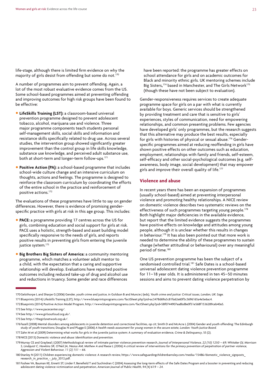life-stage, although there is limited firm evidence on why the majority of girls desist from offending but some do not.<sup>170</sup>

A number of programmes aim to prevent offending. Again, a lot of the most robust evaluative evidence comes from the US. Some school-based programmes aimed at preventing offending and improving outcomes for high risk groups have been found to be effective:

- **LifeSkills Training (LST):** a classroom-based universal prevention programme designed to prevent adolescent tobacco, alcohol, marijuana use and violence. Three major programme components teach students personal self-management skills, social skills and information and resistance skills specifically related to drug use. Across several studies, the intervention group showed significantly greater improvement than the control group in life skills knowledge, substance use knowledge, and perceived adult substance use, both at short-term and longer-term follow-ups.171
- **Positive Action (PA):** a school-based programme that includes school-wide culture change and an intensive curriculum on thoughts, actions and feelings. The programme is designed to reinforce the classroom curriculum by coordinating the efforts of the entire school in the practice and reinforcement of positive actions.172

The evaluations of these programmes have little to say on gender differences. However, there is evidence of promising genderspecific practice with girls at risk in this age group. This includes:

- **PACE:** a programme providing 17 centres across the US for girls, combining education and social support for girls at risk. PACE uses a holistic, strength-based and asset building model specifically responsive to the needs of girls, and reports positive results in preventing girls from entering the juvenile justice system.<sup>173</sup>
- **Big Brothers Big Sisters of America:** a community mentoring programme, which matches a volunteer adult mentor to a child, with the expectation that a caring and supportive relationship will develop. Evaluations have reported positive outcomes including reduced take-up of drug and alcohol use and reductions in truancy. Some gender and race differences

have been reported: the programme has greater effects on school attendance for girls and on academic outcomes for Black and minority ethnic girls. UK mentoring schemes include Big Sisters,<sup>174</sup> based in Manchester, and The Girls Network<sup>175</sup> (though these have not been subject to evaluation).

Gender-responsiveness requires services to create adequate programme space for girls on a par with what is currently available for boys. Generic services should be strengthened by providing treatment and care that is sensitive to girls' experiences, styles of communication, need for empowering relationships, and common presenting problems. Few agencies have developed girls' only programmes, but the research suggests that this alternative may produce the best results, especially for girls with histories of physical or sexual abuse.<sup>176</sup> Genderspecific programmes aimed at reducing reoffending in girls have shown positive effects on other outcomes such as education, employment, relationships with family and friends, self-esteem, self-efficacy and other social-psychological outcomes (e.g. selfawareness, body image, social development) that may empower girls and improve their overall quality of life.<sup>177</sup>

#### **Violence and abuse**

In recent years there has been an expansion of programmes (usually school-based) aimed at preventing interpersonal violence and promoting healthy relationships. A NICE review on domestic violence describes two systematic reviews on the effectiveness of such programmes targeting young people.<sup>178</sup> Both highlight major deficiencies in the available evidence, but report that the limited evidence suggests the programmes have positive effects on knowledge and attitudes among young people, although it is unclear whether this results in changes in behaviour.<sup>179</sup> It has also been pointed out that more work is needed to determine the ability of these programmes to sustain change (whether attitudinal or behavioural) over any meaningful period of time.<sup>180</sup>

One US prevention programme has been the subject of a randomised controlled trial.181 Safe Dates is a school-based universal adolescent dating violence prevention programme for 11–18 year olds. It is administered in ten 45–50 minutes sessions and aims to prevent dating violence perpetration by

<sup>170</sup>Gelsthorpe L and Sharpe G (2006) Gender, youth crime and justice, in Goldson B and Muncie J (eds), *Youth crime and justice: Critical issues, London, UK: Sage.* 171Blueprints (2014) Lifeskills Training (LST), http://www.blueprintsprograms.com/factSheet.php?pid=ac3478d69a3c81fa62e60f5c3696165a4e5e6ac4. 172Blueprints (2014) Positive Action Model Program, http://www.blueprintsprograms.com/factSheet.php?pid=58f0744907ea8bd8e0f51e568f1536289ceb40a5.

<sup>173</sup>See http://www.pacecenter.org/.

<sup>174</sup>See http://www.girlsoutloud.org.uk/.

<sup>175</sup>See http://thegirlsnetwork.org.uk/.

<sup>176</sup>Fazell (2008) Mental disorders among adolescents in juvenile detention and correctional facilities, op cit; Smith D and McAcra L (2004) Gender and youth offending: The Edinburgh study of youth transitions; Douglas N and Plugge E (2006) *A health needs assessment for young women in the secure estate, London: Youth Justice Board.*

<sup>177</sup>Zahn M et al (2009) Determining what works for girls in the juvenile justice system: A summary of evaluation evidence, *Crime & Delinquency*, 55 (2).

<sup>178</sup>NICE (2013) *Domestic violence and abuse: Identification and prevention.*

<sup>179</sup>Murray CE and Graybeal J (2007) Methodological review of intimate partner violence prevention research, *Journal of Interpersonal Violence, 22 (10) 1250 – 69; Whitaker DJ, Morrison S, Lindquist C, Hawkins SR, O'Neil JA, Nesius AM, Mathew A and Reese L (2006) A critical review of interventions for the primary prevention of perpetration of partner violence, Aggression and Violent Behaviour, 11 (2) 151 – 66.*

<sup>180</sup>Stanley N (2011) Children experiencing domestic violence: A research review, https://www.safeguardingchildrenbarnsley.com/media/15486/domestic\_violence\_signposts\_ research\_in\_practice -\_july\_2012.pdf

<sup>181</sup>Foshee VA, Bauman KE, Ennett ST, Linder F, Benefield T and Suchindran C (2004) Assessing the long-term effects of the Safe Dates Program and a booster in preventing and reducing adolescent dating violence victimization and perpetration, *American Journal of Public Health, 94 (4) 619 – 24.*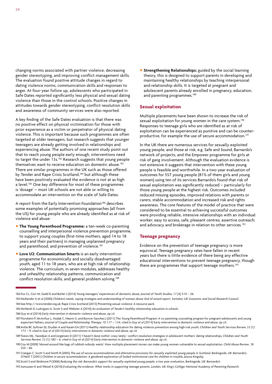changing norms associated with partner violence, decreasing gender stereotyping, and improving conflict management skills. The evaluation found positive attitude changes in regard to dating violence norms, communication skills and responses to anger. At four-year follow up, adolescents who participated in Safe Dates reported significantly less physical and sexual dating violence than those in the control schools. Positive changes in attitudes towards gender stereotyping, conflict resolution skills and awareness of community services were also reported.

A key finding of the Safe Dates evaluation is that there was no positive effect on physical victimisation for those with prior experience as a victim or perpetrator of physical dating violence. This is important because such programmes are often targeted at older teenagers, but research suggests that younger teenagers are already getting involved in relationships and experiencing abuse. The authors of one recent study point out that to reach young people early enough, interventions need to target the under 13s.<sup>182</sup> Research suggests that young people themselves want to receive education on domestic abuse.<sup>18</sup> There are similar programmes in the UK such as those offered by Tender and Rape Crisis Scotland,<sup>184</sup> but although these have been positively evaluated the evidence is not at as high a level.<sup>185</sup> One key difference for most of these programmes is 'dosage' – most UK schools are not able or willing to accommodate an intervention on the scale of Safe Dates.

A report from the Early Intervention Foundation<sup>186</sup> describes some examples of potentially promising approaches (all from the US) for young people who are already identified as at risk of violence and abuse:

- **The Young Parenthood Programme:** a ten-week co-parenting counselling and interpersonal violence prevention programme, to support young couples (first-time mothers, aged 14 to 18 years and their partners) in managing unplanned pregnancy and parenthood, and prevention of violence.<sup>187</sup>
- **Love U2: Communication Smarts** is an early intervention programme for economically and socially disadvantaged youth, aged 11 to 18 years, who are at high risk of relationship violence. The curriculum, in seven modules, addresses healthy and unhealthy relationship patterns, communication and conflict resolution skills, and general problem solving.188

**• Strengthening Relationships:** guided by the social learning theory, this is designed to support parents in developing and maintaining healthy relationships by teaching interpersonal and relationship skills. It is targeted at pregnant and adolescent parents already enrolled in pregnancy, education, and parenting programmes.<sup>189</sup>

#### **Sexual exploitation**

Multiple placements have been shown to increase the risk of sexual exploitation for young women in the care system.<sup>190</sup> Responses to teenage girls who are identified as at risk of exploitation can be experienced as punitive and can be counterproductive, for example the use of secure accommodation.<sup>191</sup>

In the UK there are numerous services for sexually exploited young people, and those at risk, e.g. Safe and Sound, Barnardo's network of projects, and the Empower programme for girls at risk of gang involvement. Although the evaluation evidence is not extensive it suggests that intervention with these young people is feasible and worthwhile. In a two-year evaluation of outcomes for 557 young people (81% of them girls and young women) using ten of its services Barnardo's found that risk of sexual exploitation was significantly reduced – particularly for those young people at the highest risk. Outcomes included reduced missing episodes, improved relations with parents or carers, stable accommodation and increased risk and rights awareness. The core features of the model of practice that were considered to be essential to achieving successful outcomes were providing reliable, intensive relationships with an individual worker; easy to access, safe, pleasant centres; assertive outreach; and advocacy and brokerage in relation to other services.<sup>192</sup>

#### **Teenage pregnancy**

Evidence on the prevention of teenage pregnancy is more equivocal. Teenage pregnancy rates have fallen in recent years but there is little evidence of there being any effective educational interventions to prevent teenage pregnancy, though there are programmes that support teenage mothers.<sup>193</sup>

- 183Mullender A et al (2000) *Children's needs, coping strategies and understanding of woman abuse: End of award report, Swindon, UK: Economic and Social Research Council.* 184See http://www.tender.org.uk; Rape Crisis Scotland (2013) Preventing sexual violence: A resource pack.
- 185McNeish D, Ludvigsen A, Scott S and Webster A (2010) *An evaluation of Tender's healthy relationship education in schools.*

186Guy et al (2014) *Early intervention in domestic violence and abuse, op cit.*

191Creegan C, Scott S and Smith R (2005) *The use of secure accommodation and alternative provisions for sexually exploited young people in Scotland, Barkingside, UK: Barnardo's; O'Neill T (2001) Children in secure accommodation: A gendered exploration of locked institutional care for children in trouble, Jessica Kingsley.*

192Scott S and Skidmore P (2006) *Reducing the risk: Barnardo's support for sexually exploited young people, a two year evaluation, Barkingside, UK: Barnardo's.* 193Asmussen K and Weizel K (2010) *Evaluating the evidence: What works in supporting teenage parents, London, UK: King's College: National Academy of Parenting Research.*

<sup>182</sup>Fox CL, Corr M, Gadd D and Butler I (2014) Young teenagers' experiences of domestic abuse, *Journal of Youth Studies, 17 (4) 510 – 26.*

<sup>187</sup>Florsheim P, McArthur L, Hudak C, Heavin S, and Burrow-Sanchez J (2011) The Young Parenthood Program: A co-parenting counseling program for pregnant adolescents and young expectant fathers, *Journal of Couple and Relationship Therapy, 10 117 – 134, cited in Guy et al (2014) Early intervention in domestic violence and abuse, op cit.*

<sup>188</sup>Antle BF, Sullivan DJ, Dryden A and Karam EA (2011) Healthy relationship education for dating violence prevention among high-risk youth, *Children and Youth Services Review, 33 (1) 173 – 9, cited in Guy et al (2014) Early intervention in domestic violence and abuse, op cit.*

<sup>189</sup>Toews ML, Yazedjian A and Jorgensen D (2011) 'I haven't done nothin' crazy lately:' conflict resolution strategies in adolescent mothers' dating relationships, *Children and Youth Services Review, 33 (1) 180 – 6, cited in Guy et al (2014) Early intervention in domestic violence and abuse, op cit.*

<sup>190</sup>Coy M (2009) 'Moved around like bags of rubbish nobody wants': How multiple placement moves can make young women vulnerable to sexual exploitation, *Child Abuse Review*, 18  $254 - 66$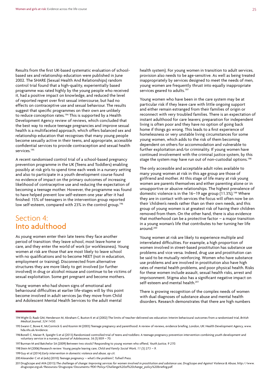Results from the first UK-based systematic evaluation of schoolbased sex and relationship education were published in June 2002. The SHARE (Sexual Health And Relationships) random control trial found that a high-quality, experientially based programme was rated highly by the young people who received it, had a positive impact on knowledge, and reduced the level of reported regret over first sexual intercourse, but had no effects on contraceptive use and sexual behaviour. The results suggest that specific programmes on their own are unlikely to reduce conception rates.<sup>194</sup> This is supported by a Health Development Agency review of reviews, which concluded that the best way to reduce teenage pregnancies and improve sexual health is a multifaceted approach, which offers balanced sex and relationship education that recognises that many young people become sexually active in their teens, and appropriate, accessible confidential services to provide contraception and sexual health services.<sup>195</sup>

A recent randomised control trial of a school-based pregnancy prevention programme in the UK (Teens and Toddlers) enabling possibly at risk girls to spend time each week in a nursery setting and also to participate in a youth development course found no evidence of impact on the primary outcomes of increasing likelihood of contraceptive use and reducing the expectation of becoming a teenage mother. However, the programme was found to have helped prevent low self-esteem one year after it had finished: 15% of teenagers in the intervention group reported low self-esteem, compared with 23% in the control group.<sup>196</sup>

#### Section 4: Into adulthood

As young women enter their late teens they face another period of transition: they leave school, most leave home or care, and they enter the world of work (or worklessness). Young women at risk are those that are most likely to leave school with no qualifications and to become NEET (not in education, employment or training). Disconnected from alternative structures they are more likely to get involved (or further involved) in drug or alcohol misuse and continue to be victims of sexual exploitation. Some get pregnant and become mothers.

Young women who had shown signs of emotional and behavioural difficulties at earlier life-stages will by this point become involved in adult services (as they move from Child and Adolescent Mental Health Services to the adult mental

health system). For young women in transition to adult services, provision also needs to be age-sensitive. As well as being treated inappropriately by services designed to meet the needs of men, young women are frequently thrust into equally inappropriate services geared to adults.<sup>197</sup>

Young women who have been in the care system may be at particular risk if they leave care with little ongoing support and either remain estranged from their families of origin or reconnect with very troubled families. There is an expectation of instant adulthood for care leavers; preparation for independent living is often poor and they have no option of going back home if things go wrong. This leads to a first experience of homelessness or very unstable living circumstances for some young women, which adds to the risk of them becoming dependent on others for accommodation and vulnerable to further exploitation and/or criminality. If young women have continued involvement with the criminal justice system, by this stage the system may have run out of non-custodial options.<sup>198</sup>

The only accessible and acceptable adult roles available to many young women at risk in this age group are those of girlfriend and mother. At this stage of life many at risk young women are parents themselves and either parenting alone or in unsupportive or abusive relationships. The highest prevalence of domestic violence is in the 16–19 age group (11.3%).<sup>199</sup> Where they are in contact with services the focus will often now be on their 'children's needs rather than on their own needs, and this group of young women is at greatest risk of having their children removed from them. On the other hand, there is also evidence that motherhood can be a protective factor – a major transition in a young woman's life that contributes to her turning her life around.<sup>200</sup>

Young women at risk are likely to experience multiple and interrelated difficulties. For example, a high proportion of women involved in street-based prostitution has substance use problems and vice versa. Indeed, drug use and prostitution can be said to be mutually reinforcing. Women who have substance use problems and are involved in prostitution also have high rates of mental health problems, and poor physical health. Risks for these women include assault, sexual health risks, arrest and imprisonment. Stigma also has a significant negative impact on self-esteem and mental health.201

There is growing recognition of the complex needs of women with dual diagnoses of substance abuse and mental health disorders. Research demonstrates that there are high numbers

198Stein M (2006) Research review: Young people leaving care, *Child and Family Social Work, 11 (3) 273 – 9.*

199Guy et al (2014) *Early intervention in domestic violence and abuse, op cit.*

200Alexander C et al (eds) (2010) *Teenage pregnancy – what's the problem?, Tufnell Press.*

<sup>194</sup>Wight D, Raab GM, Henderson M, Abraham C, Buston K et al (2002) The limits of teacher-delivered sex education: Interim behavioural outcomes from a randomised trial, *British Medical Journal, 324 1430.*

<sup>195</sup>Swann C, Bowe K, McCormick G and Kosmin M (2003) Teenage pregnancy and parenthood: A review of reviews, evidence briefing, London, UK: Health Development Agency, www. hda.nhs.uk/evidence.

<sup>196</sup>Bonell C, Maiser R, Speight S et al (2013) Randomized controlled trial of teens and toddlers: A teenage pregnancy prevention intervention combining youth development and voluntary service in a nursery, *Journal of Adolescence, 36 (5)* 859 – 70.

<sup>197</sup>Burman M and Batchelor SA (2009) Between two stools? Responding to young women who offend, *Youth Justice, 9 270.*

<sup>201</sup>DrugScope and AVA (2013) *The challenge of change: Improving services for women involved in prostitution and substance use, DrugScope and Against Violence & Abuse, http://www. drugscope.org.uk/Resources/Drugscope/Documents/PDF/Policy/Challenge%20of%20change\_policy%20briefing.pdf.*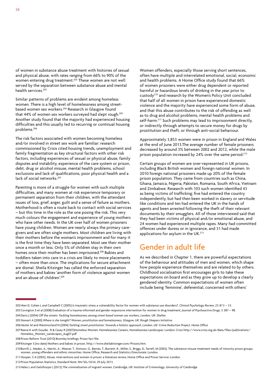of women in substance abuse treatment with histories of sexual and physical abuse, with rates ranging from 66% to 90% of the women entering drug treatment.<sup>202</sup> These women are not well served by the separation between substance abuse and mental health services.<sup>203</sup>

Similar patterns of problems are evident among homeless women. There is a high level of homelessness among streetbased women sex workers.<sup>204</sup> Research in Glasgow found that 44% of women sex workers surveyed had slept rough.205 Another study found that the majority had experienced housing difficulties and this usually led to recurring or continual housing problems.206

The risk factors associated with women becoming homeless and/or involved in street sex work are familiar: research commissioned by Crisis cited housing trends, unemployment and family fragmentation as key structural factors with other risk factors, including experiences of sexual or physical abuse, family disputes and instability, experience of the care system or prison, debt, drug or alcohol misuse, mental health problems, school exclusions and lack of qualifications, poor physical health and a lack of social networks.<sup>207</sup>

Parenting is more of a struggle for women with such multiple difficulties, and many women at risk experience temporary or permanent separation from their children, with the attendant issues of loss, grief, anger, guilt and a sense of failure as mothers. Motherhood is often a route back to contact with social services – but this time in the role as the one posing the risk. This very much colours the engagement and experience of young mothers who have other needs. In the UK over half of women prisoners have young children. Women are nearly always the primary caregivers and are often single mothers. Most children are living with their mothers before the woman's imprisonment and for many it is the first time they have been separated. Most see their mother once a month or less. Only 5% of children stay in their own homes once their mother has been imprisoned.208 Babies and toddlers taken into care in a crisis are likely to move placements – often more than once. The implications for secure attachment are dismal. Sheila Kitzinger has called the enforced separation of mothers and babies 'another form of violence against women and an abuse of children'.<sup>209</sup>

Women offenders, especially those serving short sentences, often have multiple and interrelated emotional, social, economic and health problems. A Home Office study found that 66% of women prisoners were either drug dependent or reported harmful or hazardous levels of drinking in the year prior to custody210 and research by the Women's Policy Unit concluded that half of all women in prison have experienced domestic violence and the majority have experienced some form of abuse, and that this abuse contributes to the risk of offending as well as to drug and alcohol problems, mental health problems and self-harm.<sup>211</sup> Such problems may lead to imprisonment directly, or indirectly through attempts to secure money for drugs by prostitution and theft, or through anti-social behaviour.

Approximately 3,853 women were in prison in England and Wales at the end of June 2013.The average number of female prisoners decreased by around 3% between 2002 and 2012, while the male prison population increased by 24% over the same period.<sup>212</sup>

Certain groups of women are over-represented in UK prisons, including Black British women and foreign national women. In 2010 foreign national prisoners made up 20% of the female prison population. They came from countries such as China, Ghana, Jamaica, Nigeria, Pakistan, Romania, South Africa, Vietnam and Zimbabwe. Research with 103 such women identified 43 as being victims of trafficking; five had entered the country independently, but had then been worked in slavery or servitude like conditions and ten had entered the UK in the hands of agents and been arrested following the theft of their relevant documents by their smugglers. All of those interviewed said that they had been victims of physical and/or emotional abuse, and 24 women had experienced multiple rapes. Many had committed offences under duress or in ignorance, and 31 had made applications for asylum in the UK.<sup>213</sup>

#### Gender in adult life

As we described in Chapter 1, there are powerful expectations of the behaviour and attitudes of men and women, which shape how people experience themselves and are related to by others. Childhood socialisation first encourages girls to take these expectations on board and as they grow up to develop a clearly gendered identity. Common expectations of women often include being 'feminine', deferential, concerned with others'

208Prison Reform Trust (2010) Bromley briefings: Prison fact file.

210Borrill, J., Maden, A., Martin, A., Weaver, T., Stimson, G., Barnes, T., Burnett, R., Miller, S., Briggs, D., Farrell, M (2003). The substance misuse treatment needs of minority prison groups: women, young offenders and ethnic minorities. Home Office, Research and Statistics Directorate: London.

212Prison Population Statistics, Standard Note: SN/SG/4334, 29 July 2013.

<sup>202</sup>Hien D, Cohen L and Campbell C (2005) Is traumatic stress a vulnerability factor for women with substance use disorders?, *Clinical Psychology Review, 25 813 – 33.*

<sup>203</sup>Covington S et al (2008) Evaluation of a trauma-informed and gender-responsive intervention for women in drug treatment, *Journal of Psychoactive Drugs*, 5 387 – 98. 204Davis J (2004) *Off the streets: Tackling homelessness among street based women sex workers, London, UK: Shelter.*

<sup>205</sup>Stewart A (2000) *Where is she tonight? Women, prostitution and homelessness, Glasgow, UK: Rough Sleepers Initiative.*

<sup>206</sup>Hester M and Westmorland N (2004) *Tackling street prostitution: Towards a holistic approach, London, UK: Crime Reduction Project, Home Office.*

<sup>207</sup>Reeve K with Goudie , R & Casey R (2007)Homeless Women: Homelessness Careers, Homelessness Landscapes. London: Crisis http://www.crisis.org.uk/data/files/publications/ Homeless Women Landscapes Aug07.pdf

<sup>209</sup>Kitzinger S (no date) Mothers and babies in prison, http://www.sheilakitzinger.com/Prisons.htm.

<sup>211</sup>Hooper, C-A (2003), Abuse, interventions and women in prison: a literature review, Home Office and Prison Service: London.

<sup>213</sup>Hales L and Gelsthorpe L (2012) *The criminalisation of migrant women, Cambridge, UK: Institute of Criminology, University of Cambridge.*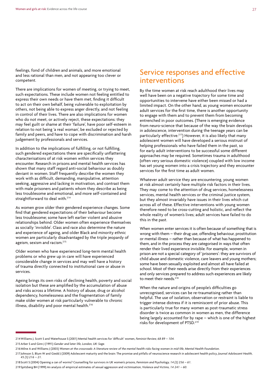feelings, fond of children and animals, and more emotional and less rational than men, and not appearing too clever or competent.

There are implications for women of meeting, or trying to meet, such expectations. These include women not feeling entitled to express their own needs or have them met, finding it difficult to act on their own behalf, being vulnerable to exploitation by others, not being able to express anger directly, and not feeling in control of their lives. There are also implications for women who do not meet, or actively reject, these expectations: they may feel guilt or shame at their 'failure', have poor self-esteem in relation to not being 'a real woman', be excluded or rejected by family and peers, and have to cope with discrimination and harsh judgement by professionals and services.

In addition to the implications of fulfilling, or not fulfilling, such gendered expectations there are specifically unflattering characterisations of at risk women within services they encounter. Research in prisons and mental health services has shown that many staff regard anti-social behaviour as doubly deviant in women. Staff frequently describe the women they work with as difficult, demanding, manipulative, attention seeking, aggressive and lacking in motivation, and contrast them with male prisoners and patients whom they describe as being less troublesome and emotional, and more self-contained and straightforward to deal with.<sup>214</sup>

As women grow older their gendered experience changes. Some find that gendered expectations of their behaviour become less troublesome; some have left earlier violent and abusive relationships behind. Older women often experience themselves as socially 'invisible'. Class and race also determine the nature and experience of ageing, and older Black and minority ethnic women are particularly disadvantaged by the triple jeopardy of ageism, sexism and racism.215

Older women who have experienced long-term mental health problems or who grew up in care will have experienced considerable change in services and may well have a history of trauma directly connected to institutional care or abuse in services.

Ageing brings its own risks of declining health, poverty and social isolation but these are amplified by the accumulation of abuse and risks across a lifetime. A history of abuse, drug or alcohol dependency, homelessness and the fragmentation of family make older women at risk particularly vulnerable to chronic illness, disability and poor mental health.216

#### Service responses and effective interventions

By the time women at risk reach adulthood their lives may well have been on a negative trajectory for some time and opportunities to intervene have either been missed or had a limited impact. On the other hand, as young women encounter adult services for the first time, there is another opportunity to engage with them and to prevent them from becoming entrenched in poor outcomes. (There is emerging evidence from neuro-science that because of the way the brain develops in adolescence, intervention during the teenage years can be particularly effective.217) However, it is also likely that many adolescent women will have developed a serious mistrust of helping professionals who have failed them in the past, so for early adult interventions to be successful some different approaches may be required. Sometimes trauma in adulthood (often very serious domestic violence) coupled with low income has set young women into a crisis trajectory and they encounter services for the first time as adult women.

Whatever adult service they are encountering, young women at risk almost certainly have multiple risk factors in their lives. They may come to the attention of drug services, homelessness services, mental health services or the criminal justice system, but they almost invariably have issues in their lives which cut across all of these. Effective interventions with young women therefore need to be cross-cutting and holistic, and reflect the whole reality of women's lives; adult services have failed to do this in the past.

When women enter services it is often because of something that is wrong with them – their drug use, offending behaviour, prostitution or mental illness – rather than because of what has happened to them, and in the process they are categorised in ways that often render their lived experience invisible. For example, women in prison are not a special category of 'prisoners': they are survivors of child abuse and domestic violence, care leavers and young mothers; some have been sexually exploited and almost all have failed at school. Most of their needs arise directly from their experiences and only services prepared to address such experiences are likely to meet their needs.<sup>218</sup>

When the nature and origins of people's difficulties go unrecognised, services can be re-traumatising rather than helpful. The use of isolation, observation or restraint is liable to trigger intense distress if it is reminiscent of prior abuse. This is particularly true for many women as post-traumatic stress disorder is twice as common in women as men, the difference being largely accounted for by rape – which is one of the highest risks for development of PTSD.<sup>219</sup>

218Scott S (2004) Opening a can of worms? Counselling for survivors in UK women's prisons, *Feminism and Psychology, 14 (2) 256 – 61.*

<sup>214</sup>Williams J, Scott S and Waterhouse S (2001) Mental health services for 'difficult' women, *Feminist Review, 68 89 – 104.* 215Arber S and Ginn J (1991) *Gender and later life, London, UK: Sage.*

<sup>216</sup>Milne A and Williams J (2003) *Women at the crossroads: A literature review of the mental health risks facing women in mid-life, Mental Health Foundation.*

<sup>217</sup>Johnson S, Blum W and Giedd J (2009) Adolescent maturity and the brain: The promise and pitfalls of neuroscience research in adolescent health policy, *Journal Adolescent Health, 45 (3) 216 – 21.*

<sup>219</sup>Spitzberg BH (1999) An analysis of empirical estimates of sexual aggression and victimisation, *Violence and Victims, 14 241 – 60.*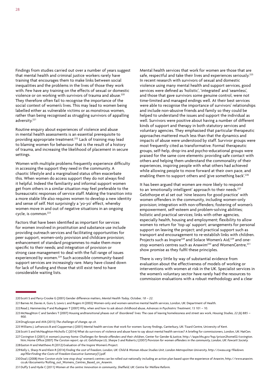Findings from studies carried out over a number of years suggest that mental health and criminal justice workers rarely have training that encourages them to make links between social inequalities and the problems in the lives of those they work with. Few have any training on the effects of sexual or domestic violence or on working with survivors of trauma and abuse.<sup>220</sup> They therefore often fail to recognise the importance of the social context of women's lives. This may lead to women being labelled either as vulnerable victims or as monstrous women, rather than being recognised as struggling survivors of appalling adversity.<sup>221</sup>

Routine enquiry about experiences of violence and abuse in mental health assessments is an essential prerequisite to providing appropriate treatment.222 Lack of training may lead to blaming women for behaviour that is the result of a history of trauma, and increasing the likelihood of placement in secure settings.

Women with multiple problems frequently experience difficulty in accessing the support they need in the community. A chaotic lifestyle and a marginalised status often exacerbate this. When women do access support they do not always find it helpful. Indeed the familiarity and informal support women get from others in a similar situation may feel preferable to the bureaucratic responses of service staff. Making the transition into a more stable life also requires women to develop a new identity and sense of self. Not surprisingly a 'yo-yo' effect, whereby women move in and out of negative situations in an ongoing cycle, is common.<sup>223</sup>

Factors that have been identified as important for services for women involved in prostitution and substance use include providing outreach services and facilitating opportunities for peer support, women-only provision and childcare provision; enhancement of standard programmes to make them more specific to their needs; and integration of provision or strong case management to deal with the full range of issues experienced by women.224 Such accessible community-based support services are increasingly rare. Many have closed down for lack of funding and those that still exist tend to have considerable waiting lists.

Mental health services that work for women are those that are safe, respectful and take their lives and experiences seriously.<sup>225</sup> In recent research with survivors of sexual and domestic violence using many mental health and support services, good services were defined as 'holistic', 'integrated' and 'seamless', and those that gave survivors some genuine control, were not time-limited and managed endings well. At their best services were able to recognise the importance of survivors' relationships and include non-abusive friends and family so they could be helped to understand the issues and support the individual as well. Survivors were positive about having a number of different kinds of support and therapy in both statutory services and voluntary agencies. They emphasised that particular therapeutic approaches mattered much less than that the dynamics and impacts of abuse were understood by staff. Survivor groups were most frequently cited as transformative. Formal therapeutic groups, self-help, drop-ins and psycho-educational groups were praised for the same core elements: providing safe contact with others and helping them understand the commonality of their experiences, inspiring people with what others had achieved while allowing people to move forward at their own pace, and enabling them to support others and 'give something back'.<sup>226</sup>

It has been argued that women are more likely to respond to an 'emotionally intelligent' approach to their needs.<sup>227</sup> Gelsthorpe et al set out 'nine lessons for good practice' with women offenders in the community, including women-only provision; integration with non-offenders; fostering of women's empowerment, self-esteem and problem-solving abilities; holistic and practical services; links with other agencies, especially health, housing and employment; flexibility to allow women to return for 'top up' support; arrangements for personal support on leaving the project; and practical support such as transport and encouragement to re-establish links with children. Projects such as Inspire<sup>228</sup> and Solace Women's Aid,<sup>229</sup> and onestop women's centres such as Anawim<sup>230</sup> and WomenCentre,<sup>231</sup> show promise as they fulfil these principles.

There is very little by way of substantial evidence from evaluation about the effectiveness of models of working or interventions with women at risk in the UK. Specialist services in the women's voluntary sector have rarely had the resources to commission evaluations with a robust methodology and a clear

<sup>220</sup>Scott S and Parry-Crooke G (2001) Gender difference matters, *Mental Health Today, October, 18 – 22.*

<sup>221</sup>Barnes M, Davies A, Guru S, Lewis L and Rogers H (2002) Women-only and women-sensitive mental health services, London, UK: Department of Health.

<sup>222</sup>Read J, Hammersley P and Rudegeair T (2007) Why, when and how to ask about childhood abuse, *Advances in Psychiatric Treatment*, 13 101 – 10.

<sup>223</sup>McNaughton C and Sanders T (2007) Housing andtransitional phases out of 'disordered' lives: The case of leaving homelessness and street sex work, *Housing Studies, 22 (6) 885 – 900.*

<sup>224</sup>DrugScope and AVA (2013) *The challenge of change, op cit.*

<sup>225</sup> Williams J, LeFrancois B and Copperman J (2001) Mental health services that work for women: Survey findings, Canterbury, UK: Tizard Centre, University of Kent.

<sup>226</sup>Scott S and McNaughton-Nicholls C (2014) What do survivors of violence and abuse have to say about mental health services? A briefing for commissioners, London, UK: NatCen.

<sup>227</sup>Covington S (2001) *A woman's journey home: Challenges for female offenders and their children*, Center for Gender & Justice, http://aspe.hhs.gov/hsp/prison2home02/covington. htm; Home Office (2007) *The Corston report, op cit; Gelsthorpe LG, Sharpe S and Roberts J (2007) Provision for women offenders in the community, London, UK: Fawcett Society.* 228Easton H and Matthews R (2012) Evaluation of the Inspire Women's Project.

<sup>229</sup>Kelly L, Sharp N and Klein R (2014) *Finding the cost of freedom, London, UK: Child & Woman Abuse Studies Unit, London Metropolitan University, http://cwasu.org/filedown. asp?file=Finding-the-Costs-of-Freedom-Executive-Summary(1).pdf.*

<sup>230</sup>Doal J (2008) How Corston style 'one stop shop' women's centres can be rolled out nationally including an action plan based upon the experience of Anawim, http://www.anawim. co.uk/documents/Rolling\_out\_Womens\_Centres\_Based\_on\_Anawim.

<sup>231</sup>Duffy S and Hyde C (2011) *Women at the centre: Innovation in community, Sheffield, UK: Centre for Welfare Reform.*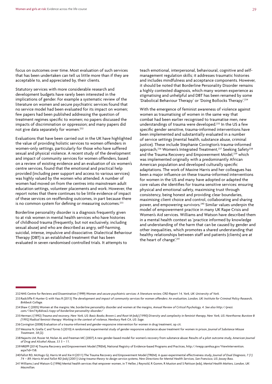focus on outcomes over time. Most evaluation of such services that has been undertaken can tell us little more than if they are acceptable to, and appreciated by, their clients.

Statutory services with more considerable research and development budgets have rarely been interested in the implications of gender. For example a systematic review of the literature on women and secure psychiatric services found that no service model had been evaluated for its impact on women; few papers had been published addressing the question of treatment regimes specific to women; no papers discussed the impacts of discrimination or oppression; and many papers did not give data separately for women.<sup>232</sup>

Evaluations that have been carried out in the UK have highlighted the value of providing holistic services to women offenders in women-only settings, particularly for those who have suffered sexual and physical violence. A recent study of the development and impact of community services for women offenders, based on a review of existing evidence and an evaluation of six women's centre services, found that the emotional and practical help provided (including peer support and access to various services) was highly valued by the women who attended. A number of women had moved on from the centres into mainstream adult education settings, volunteer placements and work. However, the report notes that there continues to be little evidence of impact of these services on reoffending outcomes, in part because there is no common system for defining or measuring outcomes.<sup>233</sup>

Borderline personality disorder is a diagnosis frequently given to at risk women in mental health services who have histories of childhood trauma (frequently, but not exclusively, including sexual abuse) and who are described as angry, self-harming, suicidal, intense, impulsive and dissociative. Dialectical Behaviour Therapy (DBT) is an established treatment that has been evaluated in seven randomised controlled trials. It attempts to

teach emotional, interpersonal, behavioural, cognitive and selfmanagement regulation skills; it addresses traumatic histories and includes mindfulness and acceptance components. However, it should be noted that Borderline Personality Disorder remains a highly contested diagnosis, which many women experience as stigmatising and unhelpful and DBT has been renamed by some 'Diabolical Behaviour Therapy' or 'Doing Bollocks Therapy'.234

With the emergence of feminist awareness of violence against women as traumatising of women in the same way that combat had been earlier recognised to traumatise men, new understandings of trauma were developed.235 In the US a few specific gender sensitive, trauma-informed interventions have been implemented and substantially evaluated in a number of service settings (mental health, substance abuse, criminal justice). These include Stephanie Covington's trauma-informed approach,<sup>236</sup> Women's Integrated Treatment,<sup>237</sup> Seeking Safety<sup>238</sup> and the Trauma Recovery and Empowerment Model,<sup>239</sup> which was implemented originally with a predominantly African American population and developed culturally specific adaptations. The work of Maxine Harris and her colleagues has been a major influence on these trauma-informed interventions for women in the US and many have adopted or adapted the core values she identifies for trauma sensitive services: ensuring physical and emotional safety, maximising trust through consistency, being honest and providing clear boundaries, maximising client choice and control, collaborating and sharing power, and empowering survivors.<sup>240</sup> Similar values underpin the model of empowerment practice in many UK Rape Crisis and Women's Aid services. Williams and Watson have described them in a mental health context as 'practice informed by knowledge and understanding of the harm that can be caused by gender and other inequalities, which promotes a shared understanding that healthy relationships between staff and patients (clients) are at the heart of change'.<sup>241</sup>

- 233Radcliffe P, Hunter G with Vass R (2013) *The development and impact of community services for women offenders: An evaluation, London, UK: Institute for Criminal Policy Research, Birkbeck College.*
- 234Shaw C (2005) Women at the margins: Me, borderline personality disorder and women at the margins, *Annual Review of Critical Psychology, 4. See also http://prezi. com/1km74y8droe2/copy-of-borderline-personality-disorder/*
- 235Herman J (1992) *Trauma and recovery, New York, US: Basic Books; Brown L and Root M (eds) (1990) Diversity and complexity in feminist therapy, New York, US: Hawthorne; Burstow B (1992) Radical feminist therapy: Working in the context of violence, Newbury Park CA, US: Sage.*
- 236Covington (2008) Evaluation of a trauma-informed and gender-responsive intervention for women in drug treatment, op cit.
- 237Messina N, Grella C and Torres S (2010) A randomised experimental study of gender responsive substance abuse treatment for women in prison, *Journal of Substance Misuse Treatment, 38 (2).*
- 238Najavits LM, Rosier M, Nolan AL and Freeman MC (2007) A new gender-based model for women's recovery from substance abuse: Results of a pilot outcome study, *American Journal of Drug and Alcohol Abuse, 33 5 – 11.*
- 239NREPP (2014) Trauma Recovery and Empowerment Model (TREM), National Registry of Evidence-based Programs and Practices, http://nrepp.samhsa.gov/ViewIntervention. aspx?id=158.

240Fallot RD, McHugo GJ, Harris M and Xie H (2011) The Trauma Recovery and Empowerment Model (TREM): A quasi-experimental effectiveness study, *Journal of Dual Diagnosis, 7 (1) 74 – 89; Harris M and Fallot RD (eds) (2001) Using trauma theory to design service systems, New Directions for Mental Health Services, San Francisco, US: Jossey Bass.*

241Williams J and Watson G (1996) Mental health services that empower women, in T Heller, J Reynold, R Gomm, R Muston and S Pattison (eds), *Mental Health Matters, London, UK: Macmillan.*

<sup>232</sup>NHS Centre for Reviews and Dissemination (1999) *Women and secure psychiatric services: A literature review, CRD Report 14, York, UK: University of York.*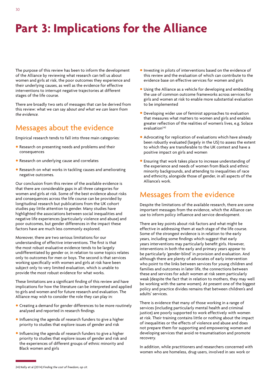## **Part 3: Implications for the Alliance**

The purpose of this review has been to inform the development of the Alliance by reviewing what research can tell us about women and girls at risk, the poor outcomes they experience and their underlying causes, as well as the evidence for effective interventions to interrupt negative trajectories at different stages of the life course.

There are broadly two sets of messages that can be derived from this review: what we can say a*bout and what we can learn from the evidence.*

## Messages about the evidence

Empirical research tends to fall into three main categories:

- Research on presenting needs and problems and their consequences
- Research on underlying cause and correlates
- Research on what works in tackling causes and ameliorating negative outcomes.

Our conclusion from this review of the available evidence is that there are considerable gaps in all three categories for women and girls at risk. Some of the best evidence about risks and consequences across the life course can be provided by longitudinal research but publications from the UK cohort studies pay little attention to gender. Many studies have highlighted the associations between social inequalities and negative life experiences (particularly violence and abuse) and poor outcomes, but gender differences in the impact these factors have are much less commonly explored.

Moreover, there are two serious limitations for our understanding of effective interventions. The first is that the most robust evaluative evidence tends to be largely undifferentiated by gender or, in relation to some topics relates only to outcomes for men or boys. The second is that services working specifically with women and girls at risk have been subject only to very limited evaluation, which is unable to provide the most robust evidence for what works.

These limitations are a significant finding of this review and have implications for how the literature can be interpreted and applied to girls and women and for future research and evaluation. The Alliance may wish to consider the role they can play in:

- Creating a demand for gender differences to be more routinely analysed and reported in research findings
- •Influencing the agenda of research funders to give a higher priority to studies that explore issues of gender and risk
- Influencing the agenda of research funders to give a higher priority to studies that explore issues of gender and risk and the experiences of different groups of ethnic minority and Black women and girls
- •Investing in pilots of interventions based on the evidence of this review and the evaluation of which can contribute to the evidence base on effective services for women and girls
- Using the Alliance as a vehicle for developing and embedding the use of common outcome frameworks across services for girls and women at risk to enable more substantial evaluation to be implemented
- Developing wider use of feminist approaches to evaluation that measures what matters to women and girls and enables greater reflection of the realities of women's lives, e.g. Solace  $evaluation<sup>242</sup>$
- Advocating for replication of evaluations which have already been robustly evaluated (largely in the US) to assess the extent to which they are transferable to the UK context and have a positive impact on girls and women
- Ensuring that work takes place to increase understanding of the experience and needs of women from Black and ethnic minority backgrounds, and attending to inequalities of race and ethnicity, alongside those of gender, in all aspects of the Alliance's work.

## Messages from the evidence

Despite the limitations of the available research, there are some important messages from the evidence, which the Alliance can use to inform policy influence and service development.

There are key points about risk factors and what might be effective in addressing them at each stage of the life course. Some of the strongest evidence is in relation to the early years, including some findings which suggest that early years interventions may particularly benefit girls. However, interventions in both the early and primary years appear to be particularly 'gender-blind' in provision and evaluation. And although there are plenty of advocates of early intervention who point to the links between services for young children and families and outcomes in later life, the connections between these and services for adult women at risk seem particularly weak (despite the fact that in relation to mothers, they may well be working with the same women). At present one of the biggest policy and practice divides remains that between children's and adults' services.

There is evidence that many of those working in a range of services (including particularly mental health and criminal justice) are poorly supported to work effectively with women at risk. Their training contains little or nothing about the impact of inequalities or the effects of violence and abuse and does not prepare them for supporting and empowering women and developing services that avoid re-traumatisation and promote recovery.

In addition, while practitioners and researchers concerned with women who are homeless, drug-users, involved in sex work or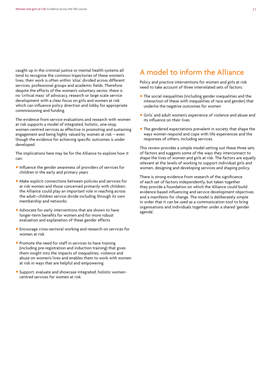caught up in the criminal justice or mental health systems all tend to recognise the common trajectories of these women's lives, their work is often within 'silos' divided across different services, professional groups and academic fields. Therefore despite the efforts of the women's voluntary sector, there is no 'critical mass' of advocacy, research or large scale service development with a clear focus on girls and women at risk which can influence policy direction and lobby for appropriate commissioning and funding.

The evidence from service evaluations and research with women at risk supports a model of integrated, holistic, one-stop, women-centred services as effective in promoting and sustaining engagement and being highly valued by women at risk – even though the evidence for achieving specific outcomes is under developed.

The implications here may be for the Alliance to explore how it can:

- •Influence the gender awareness of providers of services for children in the early and primary years
- Make explicit connections between policies and services for at risk women and those concerned primarily with children; the Alliance could play an important role in reaching across the adult–children service divide including through its own membership and networks
- Advocate for early interventions that are shown to have longer-term benefits for women and for more robust evaluation and explanation of these gender effects
- Encourage cross-sectoral working and research on services for women at risk
- Promote the need for staff in services to have training (including pre-registration and induction training) that gives them insight into the impacts of inequalities, violence and abuse on women's lives and enables them to work with women at risk in ways that are helpful and empowering
- Support, evaluate and showcase integrated, holistic womencentred services for women at risk.

### A model to inform the Alliance

Policy and practice interventions for women and girls at risk need to take account of three interrelated sets of factors:

- The social inequalities (including gender inequalities and the interaction of these with inequalities of race and gender) that underlie the negative outcomes for women
- Girls' and adult women's experience of violence and abuse and its influence on their lives
- The gendered expectations prevalent in society that shape the ways women respond and cope with life experiences and the responses of others, including services.

This review provides a simple model setting out these three sets of factors and suggests some of the ways they interconnect to shape the lives of women and girls at risk. The factors are equally relevant at the levels of working to support individual girls and women, designing and developing services and shaping policy.

There is strong evidence from research of the significance of each set of factors independently, but taken together they provide a foundation on which the Alliance could build evidence-based influencing and service development objectives and a manifesto for change. The model is deliberately simple in order that it can be used as a communication tool to bring organisations and individuals together under a shared 'gender agenda'.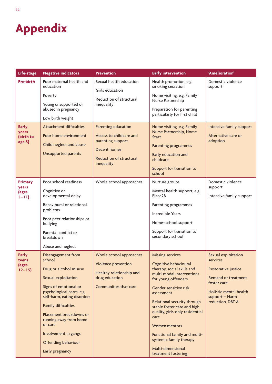## **Appendix**

| Life-stage                                   | <b>Negative indicators</b>                                                                                                                                                                                                                                                                                                        | <b>Prevention</b>                                                                                                            | <b>Early intervention</b>                                                                                                                                                                                                                                                                                                                                                                                          | 'Amelioration'                                                                                                                                               |
|----------------------------------------------|-----------------------------------------------------------------------------------------------------------------------------------------------------------------------------------------------------------------------------------------------------------------------------------------------------------------------------------|------------------------------------------------------------------------------------------------------------------------------|--------------------------------------------------------------------------------------------------------------------------------------------------------------------------------------------------------------------------------------------------------------------------------------------------------------------------------------------------------------------------------------------------------------------|--------------------------------------------------------------------------------------------------------------------------------------------------------------|
| Pre-birth                                    | Poor maternal health and<br>education<br>Poverty                                                                                                                                                                                                                                                                                  | Sexual health education<br>Girls education<br>Reduction of structural<br>inequality                                          | Health promotion, e.g.<br>smoking cessation<br>Home visiting, e.g. Family<br>Nurse Partnership                                                                                                                                                                                                                                                                                                                     | Domestic violence<br>support                                                                                                                                 |
|                                              | Young unsupported or<br>abused in pregnancy<br>Low birth weight                                                                                                                                                                                                                                                                   |                                                                                                                              | Preparation for parenting<br>particularly for first child                                                                                                                                                                                                                                                                                                                                                          |                                                                                                                                                              |
| <b>Early</b><br>years<br>(birth to<br>age 5) | <b>Attachment difficulties</b><br>Poor home environment<br>Child neglect and abuse<br><b>Unsupported parents</b>                                                                                                                                                                                                                  | Parenting education<br>Access to childcare and<br>parenting support<br>Decent homes<br>Reduction of structural<br>inequality | Home visiting, e.g. Family<br>Nurse Partnership, Home<br><b>Start</b><br><b>Parenting programmes</b><br>Early education and<br>childcare<br>Support for transition to<br>school                                                                                                                                                                                                                                    | Intensive family support<br>Alternative care or<br>adoption                                                                                                  |
| <b>Primary</b><br>years<br>(ages<br>$5 - 11$ | Poor school readiness<br>Cognitive or<br>developmental delay<br>Behavioural or relational<br>problems<br>Poor peer relationships or<br>bullying<br>Parental conflict or<br>breakdown<br>Abuse and neglect                                                                                                                         | Whole-school approaches                                                                                                      | Nurture groups<br>Mental health support, e.g.<br>Place2B<br>Parenting programmes<br><b>Incredible Years</b><br>Home-school support<br>Support for transition to<br>secondary school                                                                                                                                                                                                                                | Domestic violence<br>support<br>Intensive family support                                                                                                     |
| <b>Early</b><br>teens<br>(ages<br>$12 - 15$  | Disengagement from<br>school<br>Drug or alcohol misuse<br>Sexual exploitation<br>Signs of emotional or<br>psychological harm, e.g.<br>self-harm, eating disorders<br><b>Family difficulties</b><br>Placement breakdowns or<br>running away from home<br>or care<br>Involvement in gangs<br>Offending behaviour<br>Early pregnancy | Whole-school approaches<br>Violence prevention<br>Healthy relationship and<br>drug education<br>Communities that care        | <b>Missing services</b><br>Cognitive behavioural<br>therapy, social skills and<br>multi-modal interventions<br>for young offenders<br>Gender sensitive risk<br>assessment<br>Relational security through<br>stable foster care and high-<br>quality, girls-only residential<br>care<br><b>Women mentors</b><br>Functional family and multi-<br>systemic family therapy<br>Multi-dimensional<br>treatment fostering | Sexual exploitation<br>services<br>Restorative justice<br>Remand or treatment<br>foster care<br>Holistic mental health<br>support - Harm<br>reduction, DBT-A |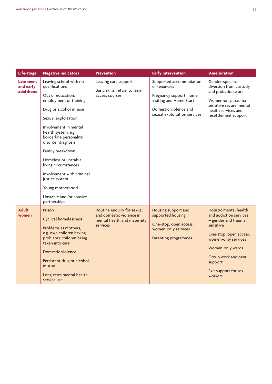| Life-stage                                  | <b>Negative indicators</b>                                                                                                                                                                                                                                                                                                                                                                                                 | <b>Prevention</b>                                                                                 | <b>Early intervention</b>                                                                                                                              | 'Amelioration'                                                                                                                                                                                                                 |
|---------------------------------------------|----------------------------------------------------------------------------------------------------------------------------------------------------------------------------------------------------------------------------------------------------------------------------------------------------------------------------------------------------------------------------------------------------------------------------|---------------------------------------------------------------------------------------------------|--------------------------------------------------------------------------------------------------------------------------------------------------------|--------------------------------------------------------------------------------------------------------------------------------------------------------------------------------------------------------------------------------|
| <b>Late teens</b><br>and early<br>adulthood | Leaving school with no<br>qualifications<br>Out of education,<br>employment or training<br>Drug or alcohol misuse<br>Sexual exploitation<br>Involvement in mental<br>health system, e.g.<br>borderline personality<br>disorder diagnosis<br>Family breakdown<br>Homeless or unstable<br>living circumstances<br>Involvement with criminal<br>justice system<br>Young motherhood<br>Unstable and/or abusive<br>partnerships | Leaving care support<br>Basic skills; return to learn<br>access courses                           | Supported accommodation<br>or tenancies<br>Pregnancy support, home<br>visiting and Home Start<br>Domestic violence and<br>sexual exploitation services | Gender-specific<br>diversion from custody<br>and probation work<br>Women-only, trauma<br>sensitive secure mental<br>health services and<br>resettlement support                                                                |
| <b>Adult</b><br>women                       | Prison<br><b>Cyclical homelessness</b><br>Problems as mothers,<br>e.g. own children having<br>problems; children being<br>taken into care<br>Domestic violence<br>Persistent drug or alcohol<br>misuse<br>Long-term mental health<br>service use                                                                                                                                                                           | Routine enquiry for sexual<br>and domestic violence in<br>mental health and maternity<br>services | Housing support and<br>supported housing<br>One-stop, open access,<br>women-only services<br><b>Parenting programmes</b>                               | Holistic mental health<br>and addiction services<br>- gender and trauma<br>sensitive<br>One-stop, open access,<br>women-only services<br>Women-only wards<br>Group work and peer<br>support<br>Exit support for sex<br>workers |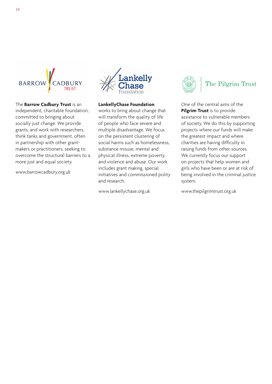

#### The **Barrow Cadbury Trust** is an

independent, charitable foundation, committed to bringing about socially just change. We provide grants, and work with researchers, think tanks and government, often in partnership with other grantmakers or practitioners, seeking to overcome the structural barriers to a more just and equal society.

www.barrowcadbury.org.uk



#### **LankellyChase Foundation**

works to bring about change that will transform the quality of life of people who face severe and multiple disadvantage. We focus on the persistent clustering of social harms such as homelessness, substance misuse, mental and physical illness, extreme poverty, and violence and abuse. Our work includes grant making, special initiatives and commissioned polity and research.

www.lankellychase.org.uk



## The Pilgrim Trust

One of the central aims of the **Pilgrim Trust** is to provide assistance to vulnerable members of society. We do this by supporting projects where our funds will make the greatest impact and where charities are having difficulty in raising funds from other sources. We currently focus our support on projects that help women and girls who have been or are at risk of being involved in the criminal justice system.

www.thepilgrimtrust.org.uk